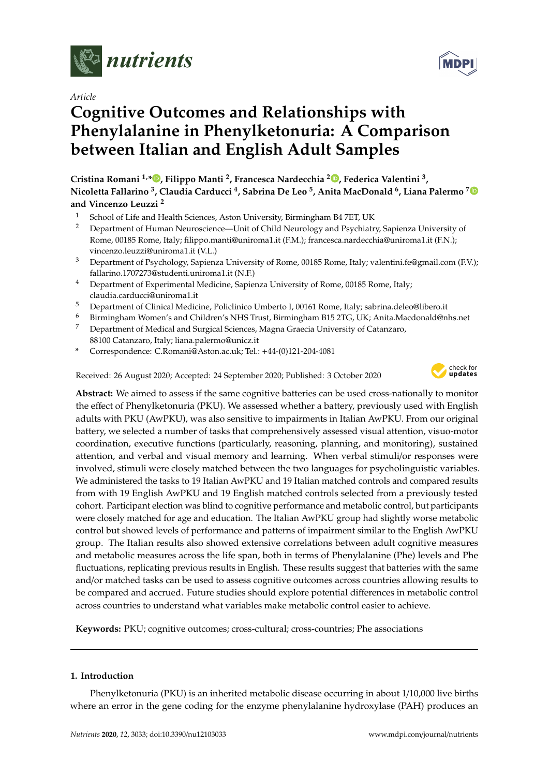

*Article*

# **Cognitive Outcomes and Relationships with Phenylalanine in Phenylketonuria: A Comparison between Italian and English Adult Samples**

**Cristina Romani 1,[\\*](https://orcid.org/0000-0002-5693-4131) , Filippo Manti <sup>2</sup> , Francesca Nardecchia <sup>2</sup> [,](https://orcid.org/0000-0002-0808-2827) Federica Valentini <sup>3</sup> , Nicoletta Fallarino <sup>3</sup> , Claudia Carducci <sup>4</sup> , Sabrina De Leo <sup>5</sup> , Anita MacDonald <sup>6</sup> , Liana Palermo [7](https://orcid.org/0000-0001-8047-7201) and Vincenzo Leuzzi <sup>2</sup>**

- <sup>1</sup> School of Life and Health Sciences, Aston University, Birmingham B4 7ET, UK<br><sup>2</sup> Department of Human Neurocciones. Unit of Child Neuroleau and Peychiatr
- <sup>2</sup> Department of Human Neuroscience—Unit of Child Neurology and Psychiatry, Sapienza University of Rome, 00185 Rome, Italy; filippo.manti@uniroma1.it (F.M.); francesca.nardecchia@uniroma1.it (F.N.); vincenzo.leuzzi@uniroma1.it (V.L.)
- <sup>3</sup> Department of Psychology, Sapienza University of Rome, 00185 Rome, Italy; valentini.fe@gmail.com (F.V.); fallarino.1707273@studenti.uniroma1.it (N.F.)
- <sup>4</sup> Department of Experimental Medicine, Sapienza University of Rome, 00185 Rome, Italy; claudia.carducci@uniroma1.it
- <sup>5</sup> Department of Clinical Medicine, Policlinico Umberto I, 00161 Rome, Italy; sabrina.deleo@libero.it
- <sup>6</sup> Birmingham Women's and Children's NHS Trust, Birmingham B15 2TG, UK; Anita.Macdonald@nhs.net
- <sup>7</sup> Department of Medical and Surgical Sciences, Magna Graecia University of Catanzaro, 88100 Catanzaro, Italy; liana.palermo@unicz.it
- **\*** Correspondence: C.Romani@Aston.ac.uk; Tel.: +44-(0)121-204-4081

Received: 26 August 2020; Accepted: 24 September 2020; Published: 3 October 2020



**Abstract:** We aimed to assess if the same cognitive batteries can be used cross-nationally to monitor the effect of Phenylketonuria (PKU). We assessed whether a battery, previously used with English adults with PKU (AwPKU), was also sensitive to impairments in Italian AwPKU. From our original battery, we selected a number of tasks that comprehensively assessed visual attention, visuo-motor coordination, executive functions (particularly, reasoning, planning, and monitoring), sustained attention, and verbal and visual memory and learning. When verbal stimuli/or responses were involved, stimuli were closely matched between the two languages for psycholinguistic variables. We administered the tasks to 19 Italian AwPKU and 19 Italian matched controls and compared results from with 19 English AwPKU and 19 English matched controls selected from a previously tested cohort. Participant election was blind to cognitive performance and metabolic control, but participants were closely matched for age and education. The Italian AwPKU group had slightly worse metabolic control but showed levels of performance and patterns of impairment similar to the English AwPKU group. The Italian results also showed extensive correlations between adult cognitive measures and metabolic measures across the life span, both in terms of Phenylalanine (Phe) levels and Phe fluctuations, replicating previous results in English. These results suggest that batteries with the same and/or matched tasks can be used to assess cognitive outcomes across countries allowing results to be compared and accrued. Future studies should explore potential differences in metabolic control across countries to understand what variables make metabolic control easier to achieve.

**Keywords:** PKU; cognitive outcomes; cross-cultural; cross-countries; Phe associations

# **1. Introduction**

Phenylketonuria (PKU) is an inherited metabolic disease occurring in about 1/10,000 live births where an error in the gene coding for the enzyme phenylalanine hydroxylase (PAH) produces an

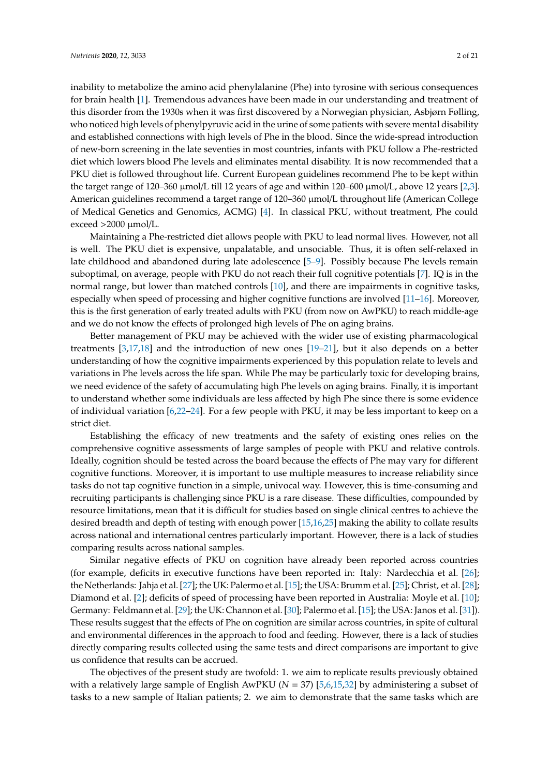inability to metabolize the amino acid phenylalanine (Phe) into tyrosine with serious consequences for brain health [\[1\]](#page-17-0). Tremendous advances have been made in our understanding and treatment of this disorder from the 1930s when it was first discovered by a Norwegian physician, Asbjørn Følling, who noticed high levels of phenylpyruvic acid in the urine of some patients with severe mental disability and established connections with high levels of Phe in the blood. Since the wide-spread introduction of new-born screening in the late seventies in most countries, infants with PKU follow a Phe-restricted diet which lowers blood Phe levels and eliminates mental disability. It is now recommended that a PKU diet is followed throughout life. Current European guidelines recommend Phe to be kept within the target range of 120–360 µmol/L till 12 years of age and within 120–600 µmol/L, above 12 years [\[2](#page-17-1)[,3\]](#page-17-2). American guidelines recommend a target range of 120–360 µmol/L throughout life (American College of Medical Genetics and Genomics, ACMG) [\[4\]](#page-17-3). In classical PKU, without treatment, Phe could exceed  $>2000$   $\mu$ mol/L.

Maintaining a Phe-restricted diet allows people with PKU to lead normal lives. However, not all is well. The PKU diet is expensive, unpalatable, and unsociable. Thus, it is often self-relaxed in late childhood and abandoned during late adolescence [\[5–](#page-17-4)[9\]](#page-17-5). Possibly because Phe levels remain suboptimal, on average, people with PKU do not reach their full cognitive potentials [\[7\]](#page-17-6). IQ is in the normal range, but lower than matched controls [\[10\]](#page-17-7), and there are impairments in cognitive tasks, especially when speed of processing and higher cognitive functions are involved [\[11](#page-17-8)[–16\]](#page-17-9). Moreover, this is the first generation of early treated adults with PKU (from now on AwPKU) to reach middle-age and we do not know the effects of prolonged high levels of Phe on aging brains.

Better management of PKU may be achieved with the wider use of existing pharmacological treatments [\[3,](#page-17-2)[17,](#page-17-10)[18\]](#page-18-0) and the introduction of new ones [\[19](#page-18-1)[–21\]](#page-18-2), but it also depends on a better understanding of how the cognitive impairments experienced by this population relate to levels and variations in Phe levels across the life span. While Phe may be particularly toxic for developing brains, we need evidence of the safety of accumulating high Phe levels on aging brains. Finally, it is important to understand whether some individuals are less affected by high Phe since there is some evidence of individual variation [\[6,](#page-17-11)[22–](#page-18-3)[24\]](#page-18-4). For a few people with PKU, it may be less important to keep on a strict diet.

Establishing the efficacy of new treatments and the safety of existing ones relies on the comprehensive cognitive assessments of large samples of people with PKU and relative controls. Ideally, cognition should be tested across the board because the effects of Phe may vary for different cognitive functions. Moreover, it is important to use multiple measures to increase reliability since tasks do not tap cognitive function in a simple, univocal way. However, this is time-consuming and recruiting participants is challenging since PKU is a rare disease. These difficulties, compounded by resource limitations, mean that it is difficult for studies based on single clinical centres to achieve the desired breadth and depth of testing with enough power [\[15,](#page-17-12)[16](#page-17-9)[,25\]](#page-18-5) making the ability to collate results across national and international centres particularly important. However, there is a lack of studies comparing results across national samples.

Similar negative effects of PKU on cognition have already been reported across countries (for example, deficits in executive functions have been reported in: Italy: Nardecchia et al. [\[26\]](#page-18-6); the Netherlands: Jahja et al. [\[27\]](#page-18-7); the UK: Palermo et al. [\[15\]](#page-17-12); the USA: Brumm et al. [\[25\]](#page-18-5); Christ, et al. [\[28\]](#page-18-8); Diamond et al. [\[2\]](#page-17-1); deficits of speed of processing have been reported in Australia: Moyle et al. [\[10\]](#page-17-7); Germany: Feldmann et al. [\[29\]](#page-18-9); the UK: Channon et al. [\[30\]](#page-18-10); Palermo et al. [\[15\]](#page-17-12); the USA: Janos et al. [\[31\]](#page-18-11)). These results suggest that the effects of Phe on cognition are similar across countries, in spite of cultural and environmental differences in the approach to food and feeding. However, there is a lack of studies directly comparing results collected using the same tests and direct comparisons are important to give us confidence that results can be accrued.

The objectives of the present study are twofold: 1. we aim to replicate results previously obtained with a relatively large sample of English AwPKU ( $N = 37$ ) [\[5,](#page-17-4)[6](#page-17-11)[,15](#page-17-12)[,32\]](#page-18-12) by administering a subset of tasks to a new sample of Italian patients; 2. we aim to demonstrate that the same tasks which are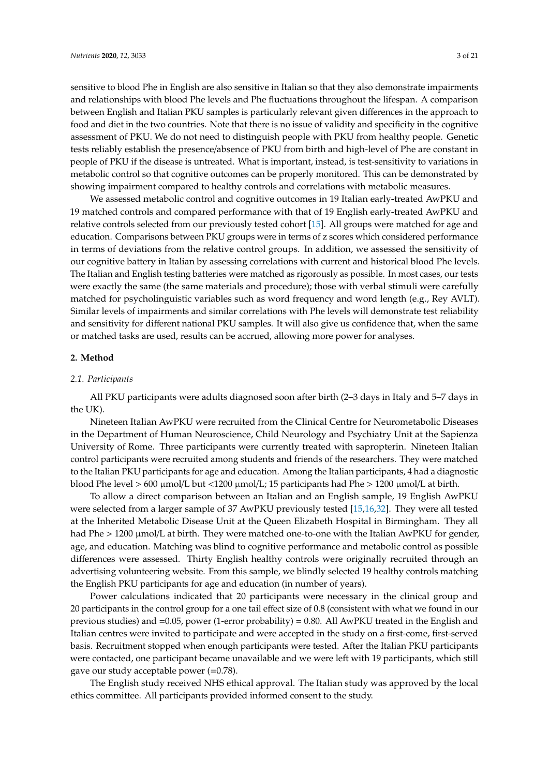sensitive to blood Phe in English are also sensitive in Italian so that they also demonstrate impairments and relationships with blood Phe levels and Phe fluctuations throughout the lifespan. A comparison between English and Italian PKU samples is particularly relevant given differences in the approach to food and diet in the two countries. Note that there is no issue of validity and specificity in the cognitive assessment of PKU. We do not need to distinguish people with PKU from healthy people. Genetic tests reliably establish the presence/absence of PKU from birth and high-level of Phe are constant in people of PKU if the disease is untreated. What is important, instead, is test-sensitivity to variations in metabolic control so that cognitive outcomes can be properly monitored. This can be demonstrated by showing impairment compared to healthy controls and correlations with metabolic measures.

We assessed metabolic control and cognitive outcomes in 19 Italian early-treated AwPKU and 19 matched controls and compared performance with that of 19 English early-treated AwPKU and relative controls selected from our previously tested cohort [\[15\]](#page-17-12). All groups were matched for age and education. Comparisons between PKU groups were in terms of z scores which considered performance in terms of deviations from the relative control groups. In addition, we assessed the sensitivity of our cognitive battery in Italian by assessing correlations with current and historical blood Phe levels. The Italian and English testing batteries were matched as rigorously as possible. In most cases, our tests were exactly the same (the same materials and procedure); those with verbal stimuli were carefully matched for psycholinguistic variables such as word frequency and word length (e.g., Rey AVLT). Similar levels of impairments and similar correlations with Phe levels will demonstrate test reliability and sensitivity for different national PKU samples. It will also give us confidence that, when the same or matched tasks are used, results can be accrued, allowing more power for analyses.

# **2. Method**

#### *2.1. Participants*

All PKU participants were adults diagnosed soon after birth (2–3 days in Italy and 5–7 days in the UK).

Nineteen Italian AwPKU were recruited from the Clinical Centre for Neurometabolic Diseases in the Department of Human Neuroscience, Child Neurology and Psychiatry Unit at the Sapienza University of Rome. Three participants were currently treated with sapropterin. Nineteen Italian control participants were recruited among students and friends of the researchers. They were matched to the Italian PKU participants for age and education. Among the Italian participants, 4 had a diagnostic blood Phe level > 600 µmol/L but <1200 µmol/L; 15 participants had Phe > 1200 µmol/L at birth.

To allow a direct comparison between an Italian and an English sample, 19 English AwPKU were selected from a larger sample of 37 AwPKU previously tested [\[15](#page-17-12)[,16](#page-17-9)[,32\]](#page-18-12). They were all tested at the Inherited Metabolic Disease Unit at the Queen Elizabeth Hospital in Birmingham. They all had Phe  $> 1200 \mu$ mol/L at birth. They were matched one-to-one with the Italian AwPKU for gender, age, and education. Matching was blind to cognitive performance and metabolic control as possible differences were assessed. Thirty English healthy controls were originally recruited through an advertising volunteering website. From this sample, we blindly selected 19 healthy controls matching the English PKU participants for age and education (in number of years).

Power calculations indicated that 20 participants were necessary in the clinical group and 20 participants in the control group for a one tail effect size of 0.8 (consistent with what we found in our previous studies) and =0.05, power (1-error probability) = 0.80. All AwPKU treated in the English and Italian centres were invited to participate and were accepted in the study on a first-come, first-served basis. Recruitment stopped when enough participants were tested. After the Italian PKU participants were contacted, one participant became unavailable and we were left with 19 participants, which still gave our study acceptable power (=0.78).

The English study received NHS ethical approval. The Italian study was approved by the local ethics committee. All participants provided informed consent to the study.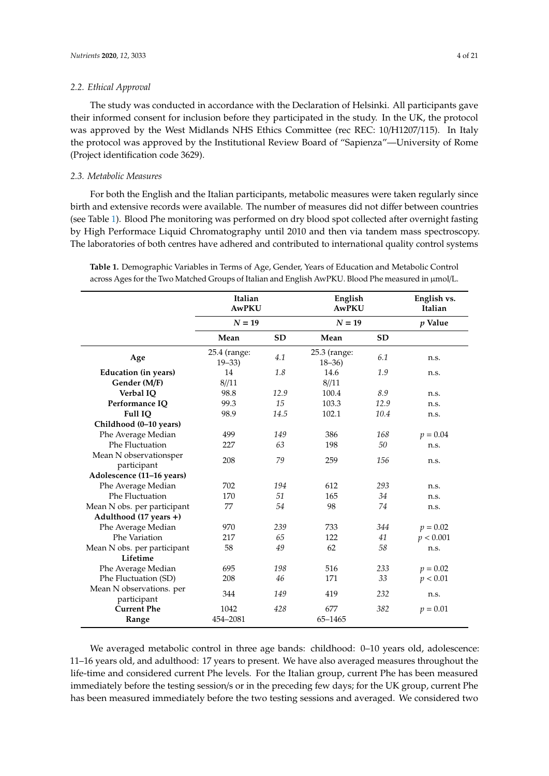#### *2.2. Ethical Approval*

The study was conducted in accordance with the Declaration of Helsinki. All participants gave their informed consent for inclusion before they participated in the study. In the UK, the protocol was approved by the West Midlands NHS Ethics Committee (rec REC: 10/H1207/115). In Italy the protocol was approved by the Institutional Review Board of "Sapienza"—University of Rome (Project identification code 3629).

# *2.3. Metabolic Measures*

For both the English and the Italian participants, metabolic measures were taken regularly since birth and extensive records were available. The number of measures did not differ between countries (see Table [1\)](#page-3-0). Blood Phe monitoring was performed on dry blood spot collected after overnight fasting by High Performace Liquid Chromatography until 2010 and then via tandem mass spectroscopy. The laboratories of both centres have adhered and contributed to international quality control systems

|                                         | Italian<br><b>AwPKU</b>   |           | English<br><b>AwPKU</b>   | English vs.<br>Italian |            |  |
|-----------------------------------------|---------------------------|-----------|---------------------------|------------------------|------------|--|
|                                         | $N = 19$                  |           | $N = 19$                  |                        | $p$ Value  |  |
|                                         | Mean                      | <b>SD</b> | Mean                      | <b>SD</b>              |            |  |
| Age                                     | 25.4 (range:<br>$19 - 33$ | 4.1       | 25.3 (range:<br>$18 - 36$ | 6.1                    | n.s.       |  |
| <b>Education</b> (in years)             | 14                        | 1.8       | 14.6                      | 1.9                    | n.s.       |  |
| Gender (M/F)                            | 8/11                      |           | 8/11                      |                        |            |  |
| Verbal IQ                               | 98.8                      | 12.9      | 100.4                     | 8.9                    | n.s.       |  |
| Performance IQ                          | 99.3                      | 15        | 103.3                     | 12.9                   | n.s.       |  |
| Full IQ                                 | 98.9                      | 14.5      | 102.1                     | 10.4                   | n.s.       |  |
| Childhood (0-10 years)                  |                           |           |                           |                        |            |  |
| Phe Average Median                      | 499                       | 149       | 386                       | 168                    | $p = 0.04$ |  |
| Phe Fluctuation                         | 227                       | 63        | 198                       | 50                     | n.s.       |  |
| Mean N observationsper<br>participant   | 208                       | 79        | 259                       | 156                    | n.s.       |  |
| Adolescence (11-16 years)               |                           |           |                           |                        |            |  |
| Phe Average Median                      | 702                       | 194       | 612                       | 293                    | n.s.       |  |
| Phe Fluctuation                         | 170                       | 51        | 165                       | 34                     | n.s.       |  |
| Mean N obs. per participant             | 77                        | 54        | 98                        | 74                     | n.s.       |  |
| Adulthood (17 years +)                  |                           |           |                           |                        |            |  |
| Phe Average Median                      | 970                       | 239       | 733                       | 344                    | $p = 0.02$ |  |
| Phe Variation                           | 217                       | 65        | 122                       | 41                     | p < 0.001  |  |
| Mean N obs. per participant             | 58                        | 49        | 62                        | 58                     | n.s.       |  |
| Lifetime                                |                           |           |                           |                        |            |  |
| Phe Average Median                      | 695                       | 198       | 516                       | 233                    | $p = 0.02$ |  |
| Phe Fluctuation (SD)                    | 208                       | 46        | 171                       | 33                     | p < 0.01   |  |
| Mean N observations. per<br>participant | 344                       | 149       | 419                       | 232                    | n.s.       |  |
| <b>Current Phe</b>                      | 1042                      | 428       | 677                       | 382                    | $p = 0.01$ |  |
| Range                                   | 454-2081                  |           | 65-1465                   |                        |            |  |

<span id="page-3-0"></span>**Table 1.** Demographic Variables in Terms of Age, Gender, Years of Education and Metabolic Control across Ages for the Two Matched Groups of Italian and English AwPKU. Blood Phe measured in  $\mu$ mol/L.

We averaged metabolic control in three age bands: childhood: 0–10 years old, adolescence: 11–16 years old, and adulthood: 17 years to present. We have also averaged measures throughout the life-time and considered current Phe levels. For the Italian group, current Phe has been measured immediately before the testing session/s or in the preceding few days; for the UK group, current Phe has been measured immediately before the two testing sessions and averaged. We considered two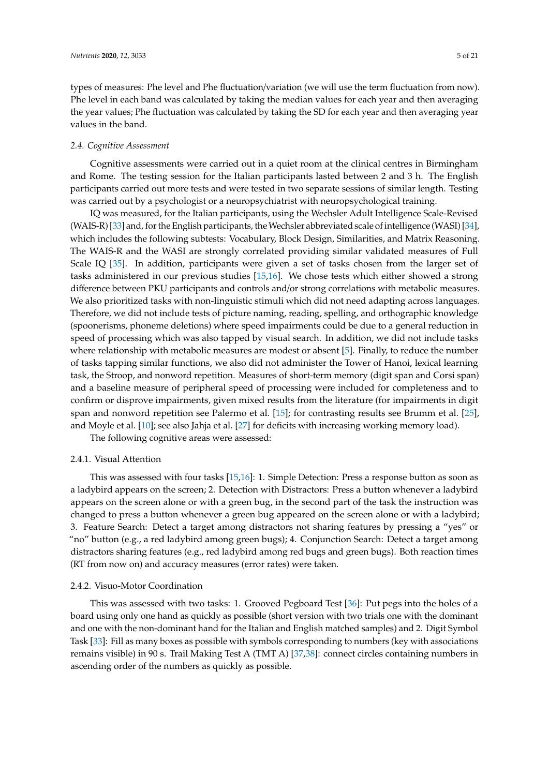types of measures: Phe level and Phe fluctuation/variation (we will use the term fluctuation from now). Phe level in each band was calculated by taking the median values for each year and then averaging the year values; Phe fluctuation was calculated by taking the SD for each year and then averaging year values in the band.

#### *2.4. Cognitive Assessment*

Cognitive assessments were carried out in a quiet room at the clinical centres in Birmingham and Rome. The testing session for the Italian participants lasted between 2 and 3 h. The English participants carried out more tests and were tested in two separate sessions of similar length. Testing was carried out by a psychologist or a neuropsychiatrist with neuropsychological training.

IQ was measured, for the Italian participants, using the Wechsler Adult Intelligence Scale-Revised (WAIS-R) [\[33\]](#page-18-13) and, for the English participants, theWechsler abbreviated scale of intelligence (WASI) [\[34\]](#page-18-14), which includes the following subtests: Vocabulary, Block Design, Similarities, and Matrix Reasoning. The WAIS-R and the WASI are strongly correlated providing similar validated measures of Full Scale IQ [\[35\]](#page-18-15). In addition, participants were given a set of tasks chosen from the larger set of tasks administered in our previous studies [\[15](#page-17-12)[,16\]](#page-17-9). We chose tests which either showed a strong difference between PKU participants and controls and/or strong correlations with metabolic measures. We also prioritized tasks with non-linguistic stimuli which did not need adapting across languages. Therefore, we did not include tests of picture naming, reading, spelling, and orthographic knowledge (spoonerisms, phoneme deletions) where speed impairments could be due to a general reduction in speed of processing which was also tapped by visual search. In addition, we did not include tasks where relationship with metabolic measures are modest or absent [\[5\]](#page-17-4). Finally, to reduce the number of tasks tapping similar functions, we also did not administer the Tower of Hanoi, lexical learning task, the Stroop, and nonword repetition. Measures of short-term memory (digit span and Corsi span) and a baseline measure of peripheral speed of processing were included for completeness and to confirm or disprove impairments, given mixed results from the literature (for impairments in digit span and nonword repetition see Palermo et al. [\[15\]](#page-17-12); for contrasting results see Brumm et al. [\[25\]](#page-18-5), and Moyle et al. [\[10\]](#page-17-7); see also Jahja et al. [\[27\]](#page-18-7) for deficits with increasing working memory load).

The following cognitive areas were assessed:

## 2.4.1. Visual Attention

This was assessed with four tasks [\[15,](#page-17-12)[16\]](#page-17-9): 1. Simple Detection: Press a response button as soon as a ladybird appears on the screen; 2. Detection with Distractors: Press a button whenever a ladybird appears on the screen alone or with a green bug, in the second part of the task the instruction was changed to press a button whenever a green bug appeared on the screen alone or with a ladybird; 3. Feature Search: Detect a target among distractors not sharing features by pressing a "yes" or "no" button (e.g., a red ladybird among green bugs); 4. Conjunction Search: Detect a target among distractors sharing features (e.g., red ladybird among red bugs and green bugs). Both reaction times (RT from now on) and accuracy measures (error rates) were taken.

## 2.4.2. Visuo-Motor Coordination

This was assessed with two tasks: 1. Grooved Pegboard Test [\[36\]](#page-18-16): Put pegs into the holes of a board using only one hand as quickly as possible (short version with two trials one with the dominant and one with the non-dominant hand for the Italian and English matched samples) and 2. Digit Symbol Task [\[33\]](#page-18-13): Fill as many boxes as possible with symbols corresponding to numbers (key with associations remains visible) in 90 s. Trail Making Test A (TMT A) [\[37,](#page-18-17)[38\]](#page-19-0): connect circles containing numbers in ascending order of the numbers as quickly as possible.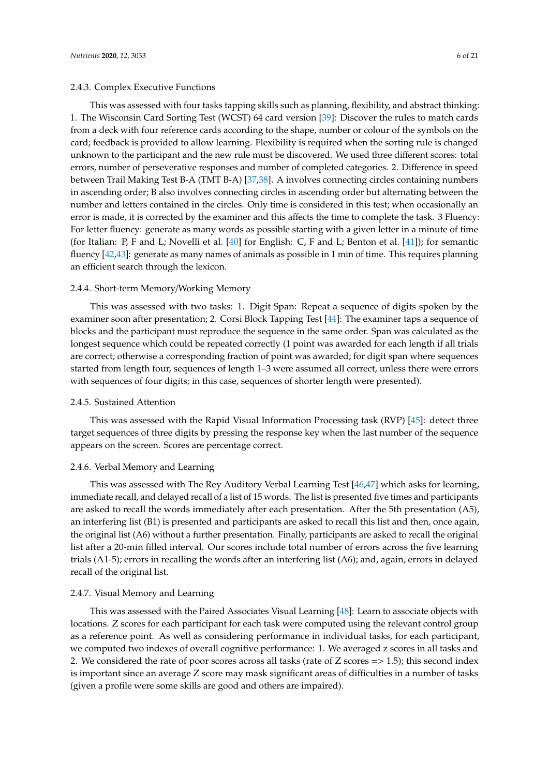## 2.4.3. Complex Executive Functions

This was assessed with four tasks tapping skills such as planning, flexibility, and abstract thinking: 1. The Wisconsin Card Sorting Test (WCST) 64 card version [\[39\]](#page-19-1): Discover the rules to match cards from a deck with four reference cards according to the shape, number or colour of the symbols on the card; feedback is provided to allow learning. Flexibility is required when the sorting rule is changed unknown to the participant and the new rule must be discovered. We used three different scores: total errors, number of perseverative responses and number of completed categories. 2. Difference in speed between Trail Making Test B-A (TMT B-A) [\[37](#page-18-17)[,38\]](#page-19-0). A involves connecting circles containing numbers in ascending order; B also involves connecting circles in ascending order but alternating between the number and letters contained in the circles. Only time is considered in this test; when occasionally an error is made, it is corrected by the examiner and this affects the time to complete the task. 3 Fluency: For letter fluency: generate as many words as possible starting with a given letter in a minute of time (for Italian: P, F and L; Novelli et al. [\[40\]](#page-19-2) for English: C, F and L; Benton et al. [\[41\]](#page-19-3)); for semantic fluency [\[42](#page-19-4)[,43\]](#page-19-5): generate as many names of animals as possible in 1 min of time. This requires planning an efficient search through the lexicon.

#### 2.4.4. Short-term Memory/Working Memory

This was assessed with two tasks: 1. Digit Span: Repeat a sequence of digits spoken by the examiner soon after presentation; 2. Corsi Block Tapping Test [\[44\]](#page-19-6): The examiner taps a sequence of blocks and the participant must reproduce the sequence in the same order. Span was calculated as the longest sequence which could be repeated correctly (1 point was awarded for each length if all trials are correct; otherwise a corresponding fraction of point was awarded; for digit span where sequences started from length four, sequences of length 1–3 were assumed all correct, unless there were errors with sequences of four digits; in this case, sequences of shorter length were presented).

#### 2.4.5. Sustained Attention

This was assessed with the Rapid Visual Information Processing task (RVP) [\[45\]](#page-19-7): detect three target sequences of three digits by pressing the response key when the last number of the sequence appears on the screen. Scores are percentage correct.

#### 2.4.6. Verbal Memory and Learning

This was assessed with The Rey Auditory Verbal Learning Test [\[46,](#page-19-8)[47\]](#page-19-9) which asks for learning, immediate recall, and delayed recall of a list of 15 words. The list is presented five times and participants are asked to recall the words immediately after each presentation. After the 5th presentation (A5), an interfering list (B1) is presented and participants are asked to recall this list and then, once again, the original list (A6) without a further presentation. Finally, participants are asked to recall the original list after a 20-min filled interval. Our scores include total number of errors across the five learning trials (A1-5); errors in recalling the words after an interfering list (A6); and, again, errors in delayed recall of the original list.

#### 2.4.7. Visual Memory and Learning

This was assessed with the Paired Associates Visual Learning [\[48\]](#page-19-10): Learn to associate objects with locations. Z scores for each participant for each task were computed using the relevant control group as a reference point. As well as considering performance in individual tasks, for each participant, we computed two indexes of overall cognitive performance: 1. We averaged z scores in all tasks and 2. We considered the rate of poor scores across all tasks (rate of Z scores => 1.5); this second index is important since an average Z score may mask significant areas of difficulties in a number of tasks (given a profile were some skills are good and others are impaired).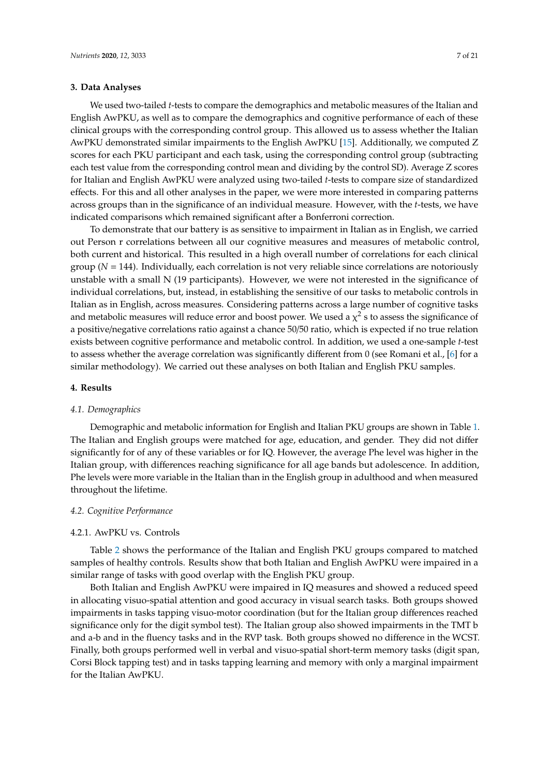## **3. Data Analyses**

We used two-tailed *t*-tests to compare the demographics and metabolic measures of the Italian and English AwPKU, as well as to compare the demographics and cognitive performance of each of these clinical groups with the corresponding control group. This allowed us to assess whether the Italian AwPKU demonstrated similar impairments to the English AwPKU [\[15\]](#page-17-12). Additionally, we computed Z scores for each PKU participant and each task, using the corresponding control group (subtracting each test value from the corresponding control mean and dividing by the control SD). Average Z scores for Italian and English AwPKU were analyzed using two-tailed *t*-tests to compare size of standardized effects. For this and all other analyses in the paper, we were more interested in comparing patterns across groups than in the significance of an individual measure. However, with the *t*-tests, we have indicated comparisons which remained significant after a Bonferroni correction.

To demonstrate that our battery is as sensitive to impairment in Italian as in English, we carried out Person r correlations between all our cognitive measures and measures of metabolic control, both current and historical. This resulted in a high overall number of correlations for each clinical group  $(N = 144)$ . Individually, each correlation is not very reliable since correlations are notoriously unstable with a small N (19 participants). However, we were not interested in the significance of individual correlations, but, instead, in establishing the sensitive of our tasks to metabolic controls in Italian as in English, across measures. Considering patterns across a large number of cognitive tasks and metabolic measures will reduce error and boost power. We used a  $\chi^2$  s to assess the significance of a positive/negative correlations ratio against a chance 50/50 ratio, which is expected if no true relation exists between cognitive performance and metabolic control. In addition, we used a one-sample *t*-test to assess whether the average correlation was significantly different from 0 (see Romani et al., [\[6\]](#page-17-11) for a similar methodology). We carried out these analyses on both Italian and English PKU samples.

## **4. Results**

## *4.1. Demographics*

Demographic and metabolic information for English and Italian PKU groups are shown in Table [1.](#page-3-0) The Italian and English groups were matched for age, education, and gender. They did not differ significantly for of any of these variables or for IQ. However, the average Phe level was higher in the Italian group, with differences reaching significance for all age bands but adolescence. In addition, Phe levels were more variable in the Italian than in the English group in adulthood and when measured throughout the lifetime.

# *4.2. Cognitive Performance*

## 4.2.1. AwPKU vs. Controls

Table [2](#page-7-0) shows the performance of the Italian and English PKU groups compared to matched samples of healthy controls. Results show that both Italian and English AwPKU were impaired in a similar range of tasks with good overlap with the English PKU group.

Both Italian and English AwPKU were impaired in IQ measures and showed a reduced speed in allocating visuo-spatial attention and good accuracy in visual search tasks. Both groups showed impairments in tasks tapping visuo-motor coordination (but for the Italian group differences reached significance only for the digit symbol test). The Italian group also showed impairments in the TMT b and a-b and in the fluency tasks and in the RVP task. Both groups showed no difference in the WCST. Finally, both groups performed well in verbal and visuo-spatial short-term memory tasks (digit span, Corsi Block tapping test) and in tasks tapping learning and memory with only a marginal impairment for the Italian AwPKU.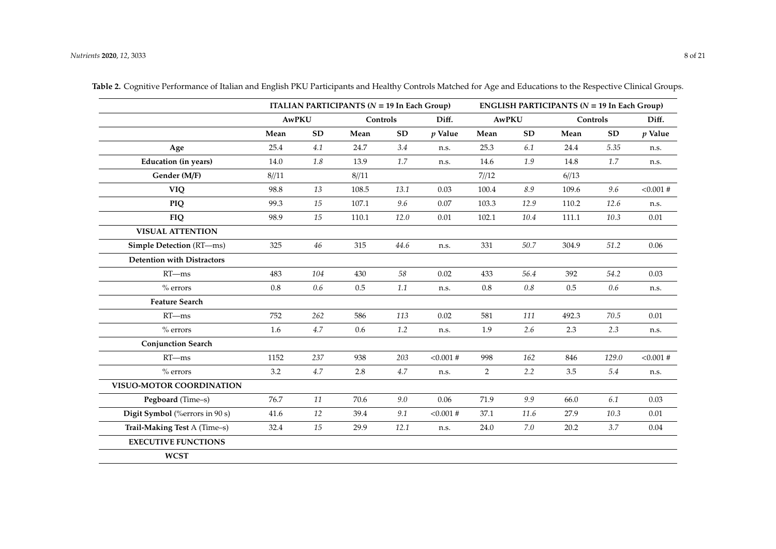<span id="page-7-0"></span>

|                                   |              |        | <b>ITALIAN PARTICIPANTS (<math>N = 19</math> In Each Group)</b> |         | <b>ENGLISH PARTICIPANTS (<math>N = 19</math> In Each Group)</b> |                |           |       |           |           |
|-----------------------------------|--------------|--------|-----------------------------------------------------------------|---------|-----------------------------------------------------------------|----------------|-----------|-------|-----------|-----------|
|                                   | <b>AwPKU</b> |        | Controls                                                        |         | Diff.                                                           | <b>AwPKU</b>   |           |       | Controls  | Diff.     |
|                                   | Mean         | SD     | Mean                                                            | SD      | $p$ Value                                                       | Mean           | <b>SD</b> | Mean  | <b>SD</b> | $p$ Value |
| Age                               | 25.4         | 4.1    | 24.7                                                            | 3.4     | n.s.                                                            | 25.3           | 6.1       | 24.4  | 5.35      | n.s.      |
| <b>Education</b> (in years)       | 14.0         | 1.8    | 13.9                                                            | 1.7     | n.s.                                                            | 14.6           | 1.9       | 14.8  | 1.7       | n.s.      |
| Gender (M/F)                      | 8/11         |        | 8/11                                                            |         |                                                                 | 7/12           |           | 6/13  |           |           |
| <b>VIQ</b>                        | 98.8         | $13\,$ | 108.5                                                           | 13.1    | 0.03                                                            | 100.4          | $8.9\,$   | 109.6 | 9.6       | < 0.001 # |
| PIQ                               | 99.3         | 15     | 107.1                                                           | 9.6     | 0.07                                                            | 103.3          | 12.9      | 110.2 | 12.6      | n.s.      |
| <b>FIQ</b>                        | 98.9         | 15     | 110.1                                                           | 12.0    | 0.01                                                            | 102.1          | 10.4      | 111.1 | 10.3      | 0.01      |
| <b>VISUAL ATTENTION</b>           |              |        |                                                                 |         |                                                                 |                |           |       |           |           |
| <b>Simple Detection (RT-ms)</b>   | 325          | 46     | 315                                                             | 44.6    | n.s.                                                            | 331            | 50.7      | 304.9 | 51.2      | 0.06      |
| <b>Detention with Distractors</b> |              |        |                                                                 |         |                                                                 |                |           |       |           |           |
| $RT$ —ms                          | 483          | 104    | 430                                                             | 58      | 0.02                                                            | 433            | 56.4      | 392   | 54.2      | 0.03      |
| $%$ errors                        | $0.8\,$      | 0.6    | $0.5\,$                                                         | 1.1     | n.s.                                                            | $0.8\,$<br>0.8 |           | 0.5   | 0.6       | n.s.      |
| <b>Feature Search</b>             |              |        |                                                                 |         |                                                                 |                |           |       |           |           |
| $RT$ -ms                          | 752          | 262    | 586                                                             | 113     | 0.02                                                            | 581            | 111       | 492.3 | 70.5      | 0.01      |
| $%$ errors                        | 1.6          | 4.7    | 0.6                                                             | 1.2     | n.s.                                                            | 1.9            | 2.6       | 2.3   | 2.3       | n.s.      |
| <b>Conjunction Search</b>         |              |        |                                                                 |         |                                                                 |                |           |       |           |           |
| $RT$ —ms                          | 1152         | 237    | 938                                                             | 203     | < 0.001#                                                        | 998            | 162       | 846   | 129.0     | < 0.001 # |
| $%$ errors                        | 3.2          | 4.7    | 2.8                                                             | 4.7     | n.s.                                                            | $\overline{2}$ | 2.2       | 3.5   | 5.4       | n.s.      |
| VISUO-MOTOR COORDINATION          |              |        |                                                                 |         |                                                                 |                |           |       |           |           |
| Pegboard (Time-s)                 | 76.7         | 11     | 70.6                                                            | 9.0     | 0.06                                                            | 71.9           | 9.9       | 66.0  | 6.1       | 0.03      |
| Digit Symbol (% errors in 90 s)   | 41.6         | $12\,$ | 39.4                                                            | $9.1\,$ | < 0.001#                                                        | 37.1           | 11.6      | 27.9  | 10.3      | 0.01      |
| Trail-Making Test A (Time-s)      | 32.4         | $15\,$ | 29.9                                                            | 12.1    | n.s.                                                            | 24.0           | $7.0\,$   | 20.2  | 3.7       | 0.04      |
| <b>EXECUTIVE FUNCTIONS</b>        |              |        |                                                                 |         |                                                                 |                |           |       |           |           |
| <b>WCST</b>                       |              |        |                                                                 |         |                                                                 |                |           |       |           |           |

**Table 2.** Cognitive Performance of Italian and English PKU Participants and Healthy Controls Matched for Age and Educations to the Respective Clinical Groups.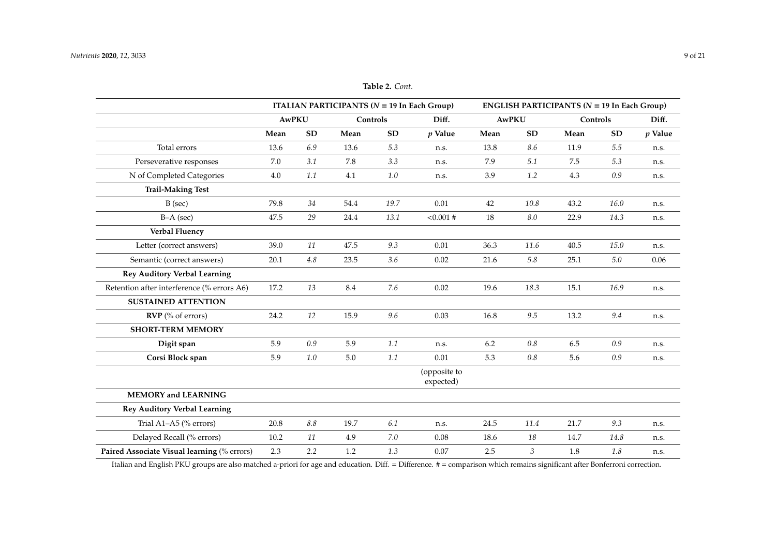|                                             |            |           |          |            | <b>ITALIAN PARTICIPANTS (<math>N = 19</math> In Each Group)</b> | <b>ENGLISH PARTICIPANTS (<math>N = 19</math> In Each Group)</b> |                |          |         |           |  |
|---------------------------------------------|------------|-----------|----------|------------|-----------------------------------------------------------------|-----------------------------------------------------------------|----------------|----------|---------|-----------|--|
|                                             | AwPKU      |           | Controls |            | Diff.                                                           | <b>AwPKU</b>                                                    |                | Controls |         | Diff.     |  |
|                                             | Mean       | <b>SD</b> | Mean     | ${\bf SD}$ | $p$ Value                                                       | Mean                                                            | SD             | Mean     | SD      | $p$ Value |  |
| Total errors                                | 13.6       | 6.9       | 13.6     | 5.3        | n.s.                                                            | 13.8                                                            | 8.6            | 11.9     | 5.5     | n.s.      |  |
| Perseverative responses                     | 7.0        | 3.1       | 7.8      | 3.3        | n.s.                                                            | 7.9                                                             | 5.1            | 7.5      | 5.3     | n.s.      |  |
| N of Completed Categories                   | 4.0        | 1.1       | 4.1      | 1.0        | n.s.                                                            | 3.9                                                             | 1.2            | 4.3      | 0.9     | n.s.      |  |
| <b>Trail-Making Test</b>                    |            |           |          |            |                                                                 |                                                                 |                |          |         |           |  |
| $B$ (sec)                                   | 79.8       | 34        | 54.4     | 19.7       | 0.01                                                            | 42                                                              | 10.8           | 43.2     | 16.0    | n.s.      |  |
| $B-A$ (sec)                                 | 47.5       | 29        | 24.4     | 13.1       | < 0.001 #                                                       | 18                                                              | 8.0            | 22.9     | 14.3    | n.s.      |  |
| Verbal Fluency                              |            |           |          |            |                                                                 |                                                                 |                |          |         |           |  |
| Letter (correct answers)                    | 39.0<br>11 |           | 47.5     | 9.3        | 0.01                                                            | 36.3                                                            | 11.6           | 40.5     | 15.0    | n.s.      |  |
| Semantic (correct answers)                  | 20.1       | $4.8\,$   | 23.5     | 3.6        | 0.02                                                            | 21.6                                                            | $5.8\,$        | 25.1     | 5.0     | $0.06\,$  |  |
| <b>Rey Auditory Verbal Learning</b>         |            |           |          |            |                                                                 |                                                                 |                |          |         |           |  |
| Retention after interference (% errors A6)  | 17.2       | 13        | 8.4      | 7.6        | 0.02                                                            | 19.6                                                            | 18.3           | 15.1     | 16.9    | n.s.      |  |
| <b>SUSTAINED ATTENTION</b>                  |            |           |          |            |                                                                 |                                                                 |                |          |         |           |  |
| RVP (% of errors)                           | 24.2       | 12        | 15.9     | 9.6        | 0.03                                                            | 16.8                                                            | 9.5            | 13.2     | $9.4\,$ | n.s.      |  |
| <b>SHORT-TERM MEMORY</b>                    |            |           |          |            |                                                                 |                                                                 |                |          |         |           |  |
| Digit span                                  | 5.9        | 0.9       | 5.9      | $1.1\,$    | n.s.                                                            | 6.2                                                             | $0.8\,$        | 6.5      | 0.9     | n.s.      |  |
| Corsi Block span                            | 5.9        | 1.0       | 5.0      | 1.1        | 0.01                                                            | 5.3                                                             | 0.8            | 5.6      | 0.9     | n.s.      |  |
|                                             |            |           |          |            | (opposite to<br>expected)                                       |                                                                 |                |          |         |           |  |
| <b>MEMORY and LEARNING</b>                  |            |           |          |            |                                                                 |                                                                 |                |          |         |           |  |
| <b>Rey Auditory Verbal Learning</b>         |            |           |          |            |                                                                 |                                                                 |                |          |         |           |  |
| Trial A1-A5 (% errors)                      | 20.8       | $8.8\,$   | 19.7     | 6.1        | n.s.                                                            | 24.5                                                            | 11.4           | 21.7     | 9.3     | n.s.      |  |
| Delayed Recall (% errors)                   | 10.2       | 11        | 4.9      | 7.0        | 0.08                                                            | 18.6                                                            | 18             | 14.7     | 14.8    | n.s.      |  |
| Paired Associate Visual learning (% errors) | 2.3        | 2.2       | 1.2      | 1.3        | 0.07                                                            | 2.5                                                             | $\mathfrak{Z}$ | 1.8      | 1.8     | n.s.      |  |

# **Table 2.** *Cont.*

Italian and English PKU groups are also matched a-priori for age and education. Diff. = Difference. # = comparison which remains significant after Bonferroni correction.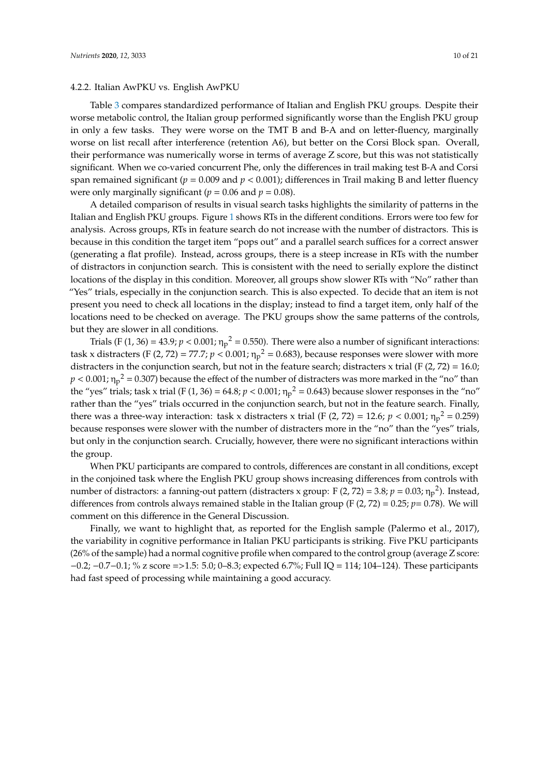#### 4.2.2. Italian AwPKU vs. English AwPKU

Table [3](#page-10-0) compares standardized performance of Italian and English PKU groups. Despite their worse metabolic control, the Italian group performed significantly worse than the English PKU group in only a few tasks. They were worse on the TMT B and B-A and on letter-fluency, marginally worse on list recall after interference (retention A6), but better on the Corsi Block span. Overall, their performance was numerically worse in terms of average Z score, but this was not statistically significant. When we co-varied concurrent Phe, only the differences in trail making test B-A and Corsi span remained significant ( $p = 0.009$  and  $p < 0.001$ ); differences in Trail making B and letter fluency were only marginally significant ( $p = 0.06$  and  $p = 0.08$ ).

A detailed comparison of results in visual search tasks highlights the similarity of patterns in the Italian and English PKU groups. Figure [1](#page-11-0) shows RTs in the different conditions. Errors were too few for analysis. Across groups, RTs in feature search do not increase with the number of distractors. This is because in this condition the target item "pops out" and a parallel search suffices for a correct answer (generating a flat profile). Instead, across groups, there is a steep increase in RTs with the number of distractors in conjunction search. This is consistent with the need to serially explore the distinct locations of the display in this condition. Moreover, all groups show slower RTs with "No" rather than "Yes" trials, especially in the conjunction search. This is also expected. To decide that an item is not present you need to check all locations in the display; instead to find a target item, only half of the locations need to be checked on average. The PKU groups show the same patterns of the controls, but they are slower in all conditions.

Trials (F (1, 36) = 43.9;  $p < 0.001$ ;  $\eta_p^2 = 0.550$ ). There were also a number of significant interactions: task x distracters (F (2, 72) = 77.7;  $p < 0.001$ ;  $\eta_p^2 = 0.683$ ), because responses were slower with more distracters in the conjunction search, but not in the feature search; distracters x trial (F  $(2, 72) = 16.0$ ;  $p < 0.001$ ;  $\eta_p^2$  = 0.307) because the effect of the number of distracters was more marked in the "no" than the "yes" trials; task x trial (F (1, 36) = 64.8;  $p < 0.001$ ;  $\eta_p^2 = 0.643$ ) because slower responses in the "no" rather than the "yes" trials occurred in the conjunction search, but not in the feature search. Finally, there was a three-way interaction: task x distracters x trial (F  $(2, 72) = 12.6; p < 0.001; \eta_p^2 = 0.259$ ) because responses were slower with the number of distracters more in the "no" than the "yes" trials, but only in the conjunction search. Crucially, however, there were no significant interactions within the group.

When PKU participants are compared to controls, differences are constant in all conditions, except in the conjoined task where the English PKU group shows increasing differences from controls with number of distractors: a fanning-out pattern (distracters x group: F  $(2, 72) = 3.8; p = 0.03; \eta_p^2$ ). Instead, differences from controls always remained stable in the Italian group (F (2, 72) = 0.25; *p*= 0.78). We will comment on this difference in the General Discussion.

Finally, we want to highlight that, as reported for the English sample (Palermo et al., 2017), the variability in cognitive performance in Italian PKU participants is striking. Five PKU participants (26% of the sample) had a normal cognitive profile when compared to the control group (average Z score: −0.2; −0.7−0.1; % z score =>1.5: 5.0; 0–8.3; expected 6.7%; Full IQ = 114; 104–124). These participants had fast speed of processing while maintaining a good accuracy.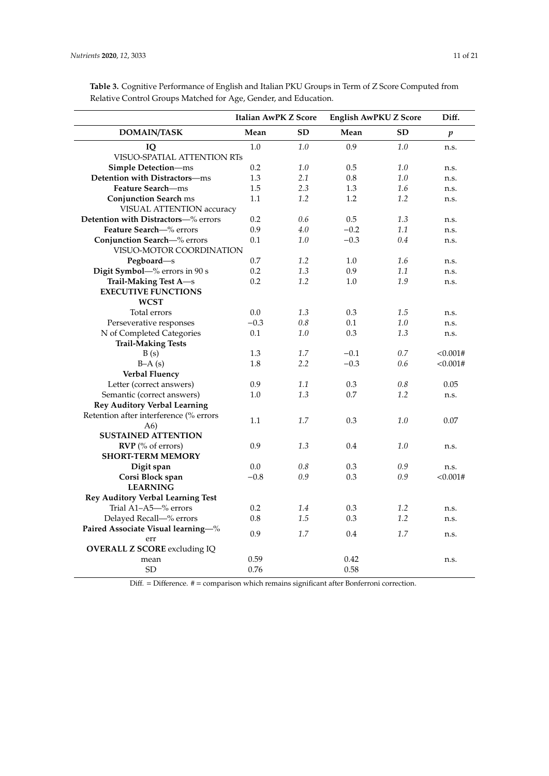|                                          | <b>Italian AwPK Z Score</b> |           | <b>English AwPKU Z Score</b> | Diff. |                  |
|------------------------------------------|-----------------------------|-----------|------------------------------|-------|------------------|
| <b>DOMAIN/TASK</b>                       | Mean                        | <b>SD</b> | Mean                         | SD    | $\boldsymbol{p}$ |
| IO                                       | 1.0                         | 1.0       | 0.9                          | 1.0   | n.s.             |
| VISUO-SPATIAL ATTENTION RTs              |                             |           |                              |       |                  |
| <b>Simple Detection-ms</b>               | 0.2                         | 1.0       | 0.5                          | 1.0   | n.s.             |
| Detention with Distractors-ms            | 1.3                         | 2.1       | 0.8                          | 1.0   | n.s.             |
| <b>Feature Search</b> —ms                | 1.5                         | 2.3       | 1.3                          | 1.6   | n.s.             |
| <b>Conjunction Search ms</b>             | 1.1                         | 1.2       | 1.2                          | 1.2   | n.s.             |
| VISUAL ATTENTION accuracy                |                             |           |                              |       |                  |
| Detention with Distractors-% errors      | 0.2                         | 0.6       | 0.5                          | 1.3   | n.s.             |
| Feature Search-% errors                  | 0.9                         | 4.0       | $-0.2$                       | 1.1   | n.s.             |
| Conjunction Search—% errors              | 0.1                         | 1.0       | $-0.3$                       | 0.4   | n.s.             |
| VISUO-MOTOR COORDINATION                 |                             |           |                              |       |                  |
| Pegboard-s                               | 0.7                         | 1.2       | 1.0                          | 1.6   | n.s.             |
| Digit Symbol-% errors in 90 s            | 0.2                         | 1.3       | 0.9                          | 1.1   | n.s.             |
| Trail-Making Test A-s                    | 0.2                         | 1.2       | 1.0                          | 1.9   | n.s.             |
| <b>EXECUTIVE FUNCTIONS</b>               |                             |           |                              |       |                  |
| <b>WCST</b>                              |                             |           |                              |       |                  |
| Total errors                             | 0.0                         | 1.3       | 0.3                          | 1.5   | n.s.             |
| Perseverative responses                  | $-0.3$                      | 0.8       | 0.1                          | 1.0   | n.s.             |
| N of Completed Categories                | 0.1                         | 1.0       | 0.3                          | 1.3   | n.s.             |
| <b>Trail-Making Tests</b>                |                             |           |                              |       |                  |
| B(s)                                     | 1.3                         | 1.7       | $-0.1$                       | 0.7   | < 0.001#         |
| $B-A(s)$                                 | 1.8                         | 2.2       | $-0.3$                       | 0.6   | < 0.001#         |
| <b>Verbal Fluency</b>                    |                             |           |                              |       |                  |
| Letter (correct answers)                 | 0.9                         | 1.1       | 0.3                          | 0.8   | 0.05             |
| Semantic (correct answers)               | 1.0                         | 1.3       | 0.7                          | 1.2   | n.s.             |
| <b>Rey Auditory Verbal Learning</b>      |                             |           |                              |       |                  |
| Retention after interference (% errors   |                             |           |                              |       |                  |
| A6)                                      | 1.1                         | 1.7       | 0.3                          | 1.0   | 0.07             |
| <b>SUSTAINED ATTENTION</b>               |                             |           |                              |       |                  |
| RVP (% of errors)                        | 0.9                         | 1.3       | 0.4                          | 1.0   | n.s.             |
| <b>SHORT-TERM MEMORY</b>                 |                             |           |                              |       |                  |
| Digit span                               | 0.0                         | 0.8       | 0.3                          | 0.9   | n.s.             |
| Corsi Block span                         | $-0.8$                      | 0.9       | 0.3                          | 0.9   | < 0.001#         |
| <b>LEARNING</b>                          |                             |           |                              |       |                  |
| <b>Rey Auditory Verbal Learning Test</b> |                             |           |                              |       |                  |
| Trial A1-A5-% errors                     | 0.2                         | 1.4       | 0.3                          | 1.2   | n.s.             |
| Delayed Recall-% errors                  | 0.8                         | 1.5       | 0.3                          | 1.2   | n.s.             |
| Paired Associate Visual learning-%       | 0.9                         | 1.7       | 0.4                          | 1.7   |                  |
| err                                      |                             |           |                              |       | n.s.             |
| <b>OVERALL Z SCORE</b> excluding IQ      |                             |           |                              |       |                  |
| mean                                     | 0.59                        |           | 0.42                         |       | n.s.             |
| SD                                       | 0.76                        |           | 0.58                         |       |                  |

<span id="page-10-0"></span>**Table 3.** Cognitive Performance of English and Italian PKU Groups in Term of Z Score Computed from Relative Control Groups Matched for Age, Gender, and Education.

Diff. = Difference. # = comparison which remains significant after Bonferroni correction.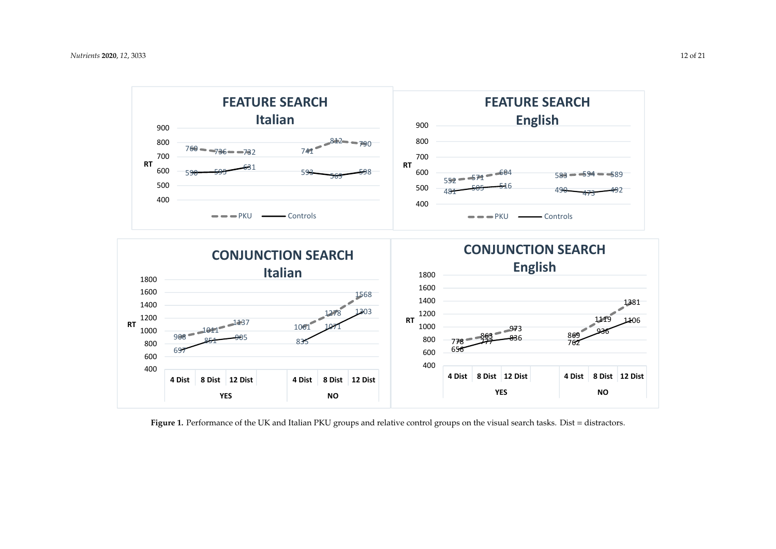

<span id="page-11-0"></span>**Figure 1.** Performance of the UK and Italian PKU groups and relative control groups on the visual search tasks. Dist = distractors.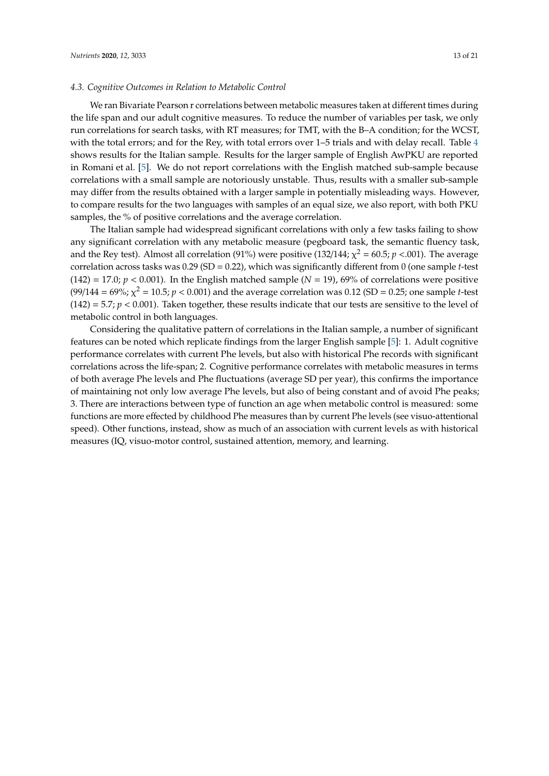#### *4.3. Cognitive Outcomes in Relation to Metabolic Control*

We ran Bivariate Pearson r correlations between metabolic measures taken at different times during the life span and our adult cognitive measures. To reduce the number of variables per task, we only run correlations for search tasks, with RT measures; for TMT, with the B–A condition; for the WCST, with the total errors; and for the Rey, with total errors over 1-5 trials and with delay recall. Table [4](#page-13-0) shows results for the Italian sample. Results for the larger sample of English AwPKU are reported in Romani et al. [\[5\]](#page-17-4). We do not report correlations with the English matched sub-sample because correlations with a small sample are notoriously unstable. Thus, results with a smaller sub-sample may differ from the results obtained with a larger sample in potentially misleading ways. However, to compare results for the two languages with samples of an equal size, we also report, with both PKU samples, the % of positive correlations and the average correlation.

The Italian sample had widespread significant correlations with only a few tasks failing to show any significant correlation with any metabolic measure (pegboard task, the semantic fluency task, and the Rey test). Almost all correlation (91%) were positive (132/144;  $\chi^2$  = 60.5;  $p$  <.001). The average correlation across tasks was 0.29 (SD = 0.22), which was significantly different from 0 (one sample *t*-test  $(142) = 17.0; p < 0.001$ ). In the English matched sample  $(N = 19)$ , 69% of correlations were positive (99/144 = 69%; χ <sup>2</sup> = 10.5; *p* < 0.001) and the average correlation was 0.12 (SD = 0.25; one sample *t*-test  $(142) = 5.7; p < 0.001$ . Taken together, these results indicate that our tests are sensitive to the level of metabolic control in both languages.

Considering the qualitative pattern of correlations in the Italian sample, a number of significant features can be noted which replicate findings from the larger English sample [\[5\]](#page-17-4): 1. Adult cognitive performance correlates with current Phe levels, but also with historical Phe records with significant correlations across the life-span; 2. Cognitive performance correlates with metabolic measures in terms of both average Phe levels and Phe fluctuations (average SD per year), this confirms the importance of maintaining not only low average Phe levels, but also of being constant and of avoid Phe peaks; 3. There are interactions between type of function an age when metabolic control is measured: some functions are more effected by childhood Phe measures than by current Phe levels (see visuo-attentional speed). Other functions, instead, show as much of an association with current levels as with historical measures (IQ, visuo-motor control, sustained attention, memory, and learning.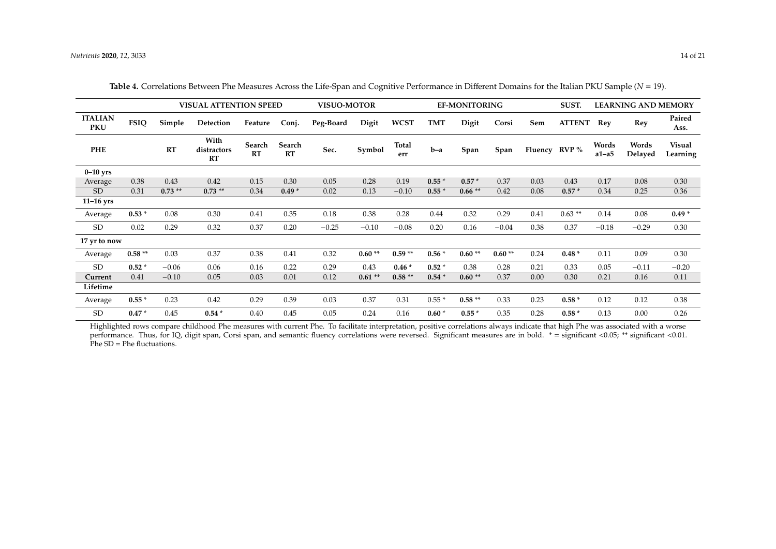|                              |             |           | <b>VISUAL ATTENTION SPEED</b>    |                     | <b>VISUO-MOTOR</b> |           |          |              |            | <b>EF-MONITORING</b> |          |               | SUST.         | <b>LEARNING AND MEMORY</b> |                  |                           |
|------------------------------|-------------|-----------|----------------------------------|---------------------|--------------------|-----------|----------|--------------|------------|----------------------|----------|---------------|---------------|----------------------------|------------------|---------------------------|
| <b>ITALIAN</b><br><b>PKU</b> | <b>FSIQ</b> | Simple    | Detection                        | Feature             | Conj.              | Peg-Board | Digit    | <b>WCST</b>  | <b>TMT</b> | Digit                | Corsi    | Sem           | <b>ATTENT</b> | Rev                        | Rey              | Paired<br>Ass.            |
| <b>PHE</b>                   |             | <b>RT</b> | With<br>distractors<br><b>RT</b> | Search<br><b>RT</b> | Search<br>RT       | Sec.      | Symbol   | Total<br>err | b-a        | Span                 | Span     | Fluency RVP % |               | Words<br>$a1-a5$           | Words<br>Delayed | <b>Visual</b><br>Learning |
| $0-10$ yrs                   |             |           |                                  |                     |                    |           |          |              |            |                      |          |               |               |                            |                  |                           |
| Average                      | 0.38        | 0.43      | 0.42                             | 0.15                | 0.30               | 0.05      | 0.28     | 0.19         | $0.55*$    | $0.57*$              | 0.37     | 0.03          | 0.43          | 0.17                       | 0.08             | 0.30                      |
| <b>SD</b>                    | 0.31        | $0.73**$  | $0.73**$                         | 0.34                | $0.49*$            | 0.02      | 0.13     | $-0.10$      | $0.55*$    | $0.66**$             | 0.42     | 0.08          | $0.57*$       | 0.34                       | 0.25             | 0.36                      |
| $11-16$ yrs                  |             |           |                                  |                     |                    |           |          |              |            |                      |          |               |               |                            |                  |                           |
| Average                      | $0.53*$     | 0.08      | 0.30                             | 0.41                | 0.35               | 0.18      | 0.38     | 0.28         | 0.44       | 0.32                 | 0.29     | 0.41          | $0.63**$      | 0.14                       | 0.08             | $0.49*$                   |
| SD <sub>.</sub>              | 0.02        | 0.29      | 0.32                             | 0.37                | 0.20               | $-0.25$   | $-0.10$  | $-0.08$      | 0.20       | 0.16                 | $-0.04$  | 0.38          | 0.37          | $-0.18$                    | $-0.29$          | 0.30                      |
| 17 yr to now                 |             |           |                                  |                     |                    |           |          |              |            |                      |          |               |               |                            |                  |                           |
| Average                      | $0.58**$    | 0.03      | 0.37                             | 0.38                | 0.41               | 0.32      | $0.60**$ | $0.59**$     | $0.56*$    | $0.60**$             | $0.60**$ | 0.24          | $0.48*$       | 0.11                       | 0.09             | 0.30                      |
| <b>SD</b>                    | $0.52*$     | $-0.06$   | 0.06                             | 0.16                | 0.22               | 0.29      | 0.43     | $0.46*$      | $0.52*$    | 0.38                 | 0.28     | 0.21          | 0.33          | 0.05                       | $-0.11$          | $-0.20$                   |
| Current                      | 0.41        | $-0.10$   | 0.05                             | 0.03                | 0.01               | 0.12      | $0.61**$ | $0.58**$     | $0.54*$    | $0.60**$             | 0.37     | 0.00          | 0.30          | 0.21                       | 0.16             | 0.11                      |
| Lifetime                     |             |           |                                  |                     |                    |           |          |              |            |                      |          |               |               |                            |                  |                           |
| Average                      | $0.55*$     | 0.23      | 0.42                             | 0.29                | 0.39               | 0.03      | 0.37     | 0.31         | $0.55*$    | $0.58**$             | 0.33     | 0.23          | $0.58*$       | 0.12                       | 0.12             | 0.38                      |
| <b>SD</b>                    | $0.47*$     | 0.45      | $0.54*$                          | 0.40                | 0.45               | 0.05      | 0.24     | 0.16         | $0.60*$    | $0.55*$              | 0.35     | 0.28          | $0.58*$       | 0.13                       | 0.00             | 0.26                      |

**Table 4.** Correlations Between Phe Measures Across the Life-Span and Cognitive Performance in Different Domains for the Italian PKU Sample (*N* = 19).

<span id="page-13-0"></span>Highlighted rows compare childhood Phe measures with current Phe. To facilitate interpretation, positive correlations always indicate that high Phe was associated with a worse performance. Thus, for IQ, digit span, Corsi span, and semantic fluency correlations were reversed. Significant measures are in bold. \* = significant <0.05; \*\* significant <0.01. Phe SD = Phe fluctuations.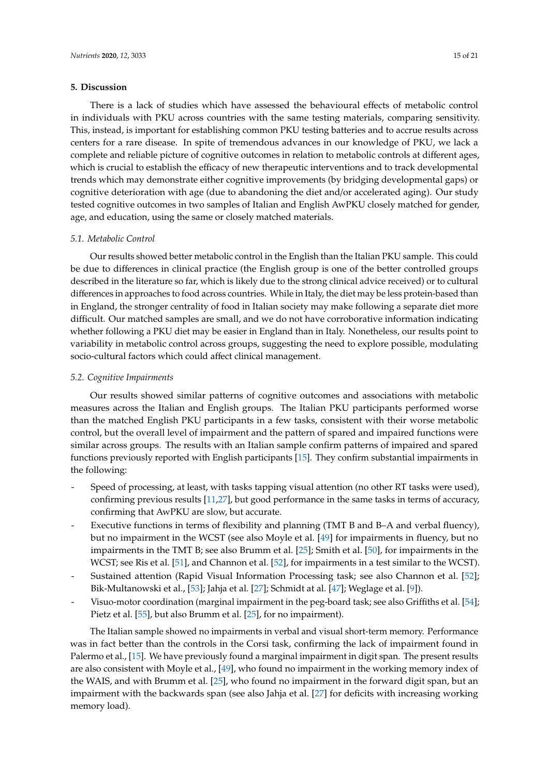## **5. Discussion**

There is a lack of studies which have assessed the behavioural effects of metabolic control in individuals with PKU across countries with the same testing materials, comparing sensitivity. This, instead, is important for establishing common PKU testing batteries and to accrue results across centers for a rare disease. In spite of tremendous advances in our knowledge of PKU, we lack a complete and reliable picture of cognitive outcomes in relation to metabolic controls at different ages, which is crucial to establish the efficacy of new therapeutic interventions and to track developmental trends which may demonstrate either cognitive improvements (by bridging developmental gaps) or cognitive deterioration with age (due to abandoning the diet and/or accelerated aging). Our study tested cognitive outcomes in two samples of Italian and English AwPKU closely matched for gender, age, and education, using the same or closely matched materials.

# *5.1. Metabolic Control*

Our results showed better metabolic control in the English than the Italian PKU sample. This could be due to differences in clinical practice (the English group is one of the better controlled groups described in the literature so far, which is likely due to the strong clinical advice received) or to cultural differences in approaches to food across countries. While in Italy, the diet may be less protein-based than in England, the stronger centrality of food in Italian society may make following a separate diet more difficult. Our matched samples are small, and we do not have corroborative information indicating whether following a PKU diet may be easier in England than in Italy. Nonetheless, our results point to variability in metabolic control across groups, suggesting the need to explore possible, modulating socio-cultural factors which could affect clinical management.

## *5.2. Cognitive Impairments*

Our results showed similar patterns of cognitive outcomes and associations with metabolic measures across the Italian and English groups. The Italian PKU participants performed worse than the matched English PKU participants in a few tasks, consistent with their worse metabolic control, but the overall level of impairment and the pattern of spared and impaired functions were similar across groups. The results with an Italian sample confirm patterns of impaired and spared functions previously reported with English participants [\[15\]](#page-17-12). They confirm substantial impairments in the following:

- Speed of processing, at least, with tasks tapping visual attention (no other RT tasks were used), confirming previous results [\[11,](#page-17-8)[27\]](#page-18-7), but good performance in the same tasks in terms of accuracy, confirming that AwPKU are slow, but accurate.
- Executive functions in terms of flexibility and planning (TMT B and B-A and verbal fluency), but no impairment in the WCST (see also Moyle et al. [\[49\]](#page-19-11) for impairments in fluency, but no impairments in the TMT B; see also Brumm et al. [\[25\]](#page-18-5); Smith et al. [\[50\]](#page-19-12), for impairments in the WCST; see Ris et al. [\[51\]](#page-19-13), and Channon et al. [\[52\]](#page-19-14), for impairments in a test similar to the WCST).
- Sustained attention (Rapid Visual Information Processing task; see also Channon et al. [\[52\]](#page-19-14); Bik-Multanowski et al., [\[53\]](#page-19-15); Jahja et al. [\[27\]](#page-18-7); Schmidt at al. [\[47\]](#page-19-9); Weglage et al. [\[9\]](#page-17-5)).
- Visuo-motor coordination (marginal impairment in the peg-board task; see also Griffiths et al. [\[54\]](#page-19-16); Pietz et al. [\[55\]](#page-19-17), but also Brumm et al. [\[25\]](#page-18-5), for no impairment).

The Italian sample showed no impairments in verbal and visual short-term memory. Performance was in fact better than the controls in the Corsi task, confirming the lack of impairment found in Palermo et al., [\[15\]](#page-17-12). We have previously found a marginal impairment in digit span. The present results are also consistent with Moyle et al., [\[49\]](#page-19-11), who found no impairment in the working memory index of the WAIS, and with Brumm et al. [\[25\]](#page-18-5), who found no impairment in the forward digit span, but an impairment with the backwards span (see also Jahja et al. [\[27\]](#page-18-7) for deficits with increasing working memory load).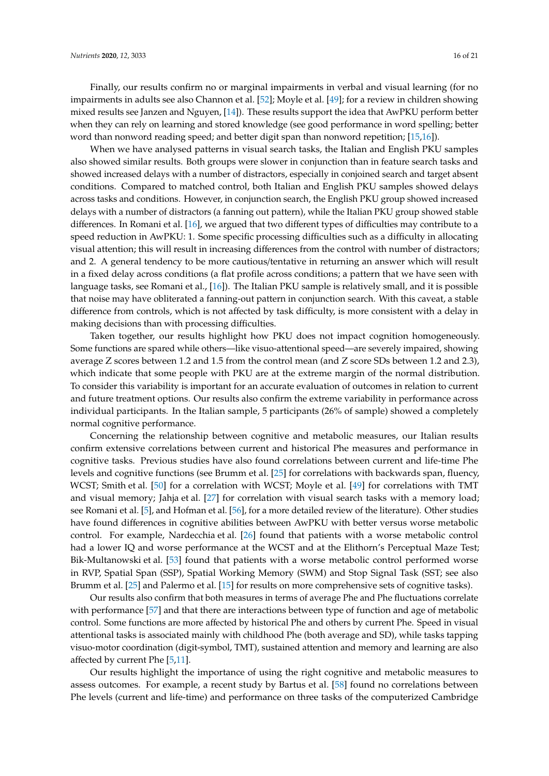Finally, our results confirm no or marginal impairments in verbal and visual learning (for no impairments in adults see also Channon et al. [\[52\]](#page-19-14); Moyle et al. [\[49\]](#page-19-11); for a review in children showing mixed results see Janzen and Nguyen, [\[14\]](#page-17-13)). These results support the idea that AwPKU perform better when they can rely on learning and stored knowledge (see good performance in word spelling; better word than nonword reading speed; and better digit span than nonword repetition; [\[15](#page-17-12)[,16\]](#page-17-9)).

When we have analysed patterns in visual search tasks, the Italian and English PKU samples also showed similar results. Both groups were slower in conjunction than in feature search tasks and showed increased delays with a number of distractors, especially in conjoined search and target absent conditions. Compared to matched control, both Italian and English PKU samples showed delays across tasks and conditions. However, in conjunction search, the English PKU group showed increased delays with a number of distractors (a fanning out pattern), while the Italian PKU group showed stable differences. In Romani et al. [\[16\]](#page-17-9), we argued that two different types of difficulties may contribute to a speed reduction in AwPKU: 1. Some specific processing difficulties such as a difficulty in allocating visual attention; this will result in increasing differences from the control with number of distractors; and 2. A general tendency to be more cautious/tentative in returning an answer which will result in a fixed delay across conditions (a flat profile across conditions; a pattern that we have seen with language tasks, see Romani et al., [\[16\]](#page-17-9)). The Italian PKU sample is relatively small, and it is possible that noise may have obliterated a fanning-out pattern in conjunction search. With this caveat, a stable difference from controls, which is not affected by task difficulty, is more consistent with a delay in making decisions than with processing difficulties.

Taken together, our results highlight how PKU does not impact cognition homogeneously. Some functions are spared while others—like visuo-attentional speed—are severely impaired, showing average Z scores between 1.2 and 1.5 from the control mean (and Z score SDs between 1.2 and 2.3), which indicate that some people with PKU are at the extreme margin of the normal distribution. To consider this variability is important for an accurate evaluation of outcomes in relation to current and future treatment options. Our results also confirm the extreme variability in performance across individual participants. In the Italian sample, 5 participants (26% of sample) showed a completely normal cognitive performance.

Concerning the relationship between cognitive and metabolic measures, our Italian results confirm extensive correlations between current and historical Phe measures and performance in cognitive tasks. Previous studies have also found correlations between current and life-time Phe levels and cognitive functions (see Brumm et al. [\[25\]](#page-18-5) for correlations with backwards span, fluency, WCST; Smith et al. [\[50\]](#page-19-12) for a correlation with WCST; Moyle et al. [\[49\]](#page-19-11) for correlations with TMT and visual memory; Jahja et al. [\[27\]](#page-18-7) for correlation with visual search tasks with a memory load; see Romani et al. [\[5\]](#page-17-4), and Hofman et al. [\[56\]](#page-19-18), for a more detailed review of the literature). Other studies have found differences in cognitive abilities between AwPKU with better versus worse metabolic control. For example, Nardecchia et al. [\[26\]](#page-18-6) found that patients with a worse metabolic control had a lower IQ and worse performance at the WCST and at the Elithorn's Perceptual Maze Test; Bik-Multanowski et al. [\[53\]](#page-19-15) found that patients with a worse metabolic control performed worse in RVP, Spatial Span (SSP), Spatial Working Memory (SWM) and Stop Signal Task (SST; see also Brumm et al. [\[25\]](#page-18-5) and Palermo et al. [\[15\]](#page-17-12) for results on more comprehensive sets of cognitive tasks).

Our results also confirm that both measures in terms of average Phe and Phe fluctuations correlate with performance [\[57\]](#page-19-19) and that there are interactions between type of function and age of metabolic control. Some functions are more affected by historical Phe and others by current Phe. Speed in visual attentional tasks is associated mainly with childhood Phe (both average and SD), while tasks tapping visuo-motor coordination (digit-symbol, TMT), sustained attention and memory and learning are also affected by current Phe [\[5,](#page-17-4)[11\]](#page-17-8).

Our results highlight the importance of using the right cognitive and metabolic measures to assess outcomes. For example, a recent study by Bartus et al. [\[58\]](#page-19-20) found no correlations between Phe levels (current and life-time) and performance on three tasks of the computerized Cambridge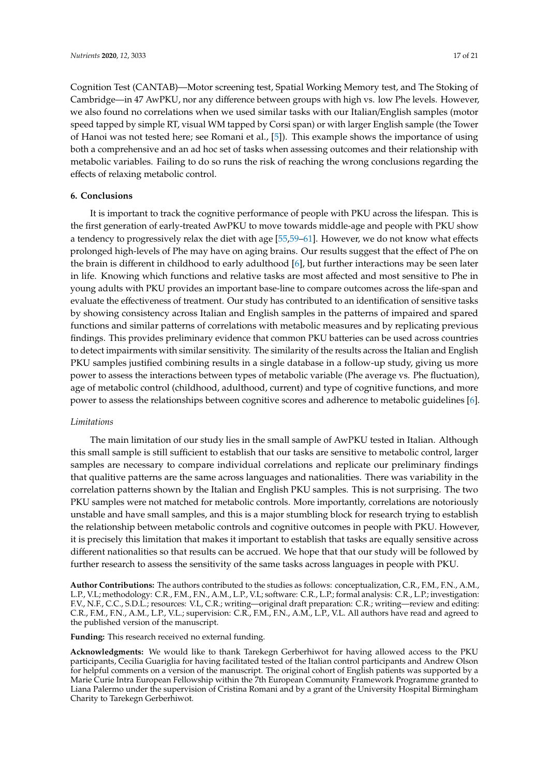Cognition Test (CANTAB)—Motor screening test, Spatial Working Memory test, and The Stoking of Cambridge—in 47 AwPKU, nor any difference between groups with high vs. low Phe levels. However, we also found no correlations when we used similar tasks with our Italian/English samples (motor speed tapped by simple RT, visual WM tapped by Corsi span) or with larger English sample (the Tower of Hanoi was not tested here; see Romani et al., [\[5\]](#page-17-4)). This example shows the importance of using both a comprehensive and an ad hoc set of tasks when assessing outcomes and their relationship with metabolic variables. Failing to do so runs the risk of reaching the wrong conclusions regarding the effects of relaxing metabolic control.

# **6. Conclusions**

It is important to track the cognitive performance of people with PKU across the lifespan. This is the first generation of early-treated AwPKU to move towards middle-age and people with PKU show a tendency to progressively relax the diet with age [\[55](#page-19-17)[,59](#page-19-21)[–61\]](#page-20-0). However, we do not know what effects prolonged high-levels of Phe may have on aging brains. Our results suggest that the effect of Phe on the brain is different in childhood to early adulthood [\[6\]](#page-17-11), but further interactions may be seen later in life. Knowing which functions and relative tasks are most affected and most sensitive to Phe in young adults with PKU provides an important base-line to compare outcomes across the life-span and evaluate the effectiveness of treatment. Our study has contributed to an identification of sensitive tasks by showing consistency across Italian and English samples in the patterns of impaired and spared functions and similar patterns of correlations with metabolic measures and by replicating previous findings. This provides preliminary evidence that common PKU batteries can be used across countries to detect impairments with similar sensitivity. The similarity of the results across the Italian and English PKU samples justified combining results in a single database in a follow-up study, giving us more power to assess the interactions between types of metabolic variable (Phe average vs. Phe fluctuation), age of metabolic control (childhood, adulthood, current) and type of cognitive functions, and more power to assess the relationships between cognitive scores and adherence to metabolic guidelines [\[6\]](#page-17-11).

## *Limitations*

The main limitation of our study lies in the small sample of AwPKU tested in Italian. Although this small sample is still sufficient to establish that our tasks are sensitive to metabolic control, larger samples are necessary to compare individual correlations and replicate our preliminary findings that qualitive patterns are the same across languages and nationalities. There was variability in the correlation patterns shown by the Italian and English PKU samples. This is not surprising. The two PKU samples were not matched for metabolic controls. More importantly, correlations are notoriously unstable and have small samples, and this is a major stumbling block for research trying to establish the relationship between metabolic controls and cognitive outcomes in people with PKU. However, it is precisely this limitation that makes it important to establish that tasks are equally sensitive across different nationalities so that results can be accrued. We hope that that our study will be followed by further research to assess the sensitivity of the same tasks across languages in people with PKU.

**Author Contributions:** The authors contributed to the studies as follows: conceptualization, C.R., F.M., F.N., A.M., L.P., V.L; methodology: C.R., F.M., F.N., A.M., L.P., V.L; software: C.R., L.P.; formal analysis: C.R., L.P.; investigation: F.V., N.F., C.C., S.D.L.; resources: V.L, C.R.; writing—original draft preparation: C.R.; writing—review and editing: C.R., F.M., F.N., A.M., L.P., V.L.; supervision: C.R., F.M., F.N., A.M., L.P., V.L. All authors have read and agreed to the published version of the manuscript.

**Funding:** This research received no external funding.

**Acknowledgments:** We would like to thank Tarekegn Gerberhiwot for having allowed access to the PKU participants, Cecilia Guariglia for having facilitated tested of the Italian control participants and Andrew Olson for helpful comments on a version of the manuscript. The original cohort of English patients was supported by a Marie Curie Intra European Fellowship within the 7th European Community Framework Programme granted to Liana Palermo under the supervision of Cristina Romani and by a grant of the University Hospital Birmingham Charity to Tarekegn Gerberhiwot.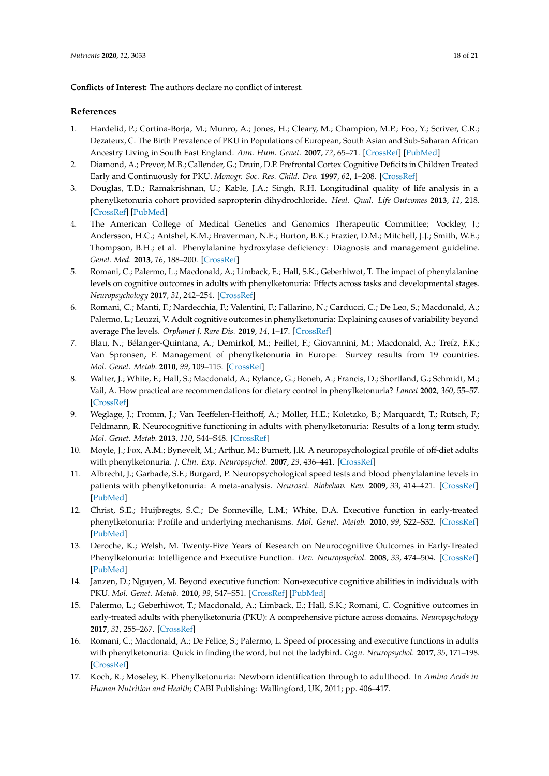**Conflicts of Interest:** The authors declare no conflict of interest.

# **References**

- <span id="page-17-0"></span>1. Hardelid, P.; Cortina-Borja, M.; Munro, A.; Jones, H.; Cleary, M.; Champion, M.P.; Foo, Y.; Scriver, C.R.; Dezateux, C. The Birth Prevalence of PKU in Populations of European, South Asian and Sub-Saharan African Ancestry Living in South East England. *Ann. Hum. Genet.* **2007**, *72*, 65–71. [\[CrossRef\]](http://dx.doi.org/10.1111/j.1469-1809.2007.00389.x) [\[PubMed\]](http://www.ncbi.nlm.nih.gov/pubmed/18184144)
- <span id="page-17-1"></span>2. Diamond, A.; Prevor, M.B.; Callender, G.; Druin, D.P. Prefrontal Cortex Cognitive Deficits in Children Treated Early and Continuously for PKU. *Monogr. Soc. Res. Child. Dev.* **1997**, *62*, 1–208. [\[CrossRef\]](http://dx.doi.org/10.2307/1166208)
- <span id="page-17-2"></span>3. Douglas, T.D.; Ramakrishnan, U.; Kable, J.A.; Singh, R.H. Longitudinal quality of life analysis in a phenylketonuria cohort provided sapropterin dihydrochloride. *Heal. Qual. Life Outcomes* **2013**, *11*, 218. [\[CrossRef\]](http://dx.doi.org/10.1186/1477-7525-11-218) [\[PubMed\]](http://www.ncbi.nlm.nih.gov/pubmed/24373161)
- <span id="page-17-3"></span>4. The American College of Medical Genetics and Genomics Therapeutic Committee; Vockley, J.; Andersson, H.C.; Antshel, K.M.; Braverman, N.E.; Burton, B.K.; Frazier, D.M.; Mitchell, J.J.; Smith, W.E.; Thompson, B.H.; et al. Phenylalanine hydroxylase deficiency: Diagnosis and management guideline. *Genet. Med.* **2013**, *16*, 188–200. [\[CrossRef\]](http://dx.doi.org/10.1038/gim.2013.157)
- <span id="page-17-4"></span>5. Romani, C.; Palermo, L.; Macdonald, A.; Limback, E.; Hall, S.K.; Geberhiwot, T. The impact of phenylalanine levels on cognitive outcomes in adults with phenylketonuria: Effects across tasks and developmental stages. *Neuropsychology* **2017**, *31*, 242–254. [\[CrossRef\]](http://dx.doi.org/10.1037/neu0000336)
- <span id="page-17-11"></span>6. Romani, C.; Manti, F.; Nardecchia, F.; Valentini, F.; Fallarino, N.; Carducci, C.; De Leo, S.; Macdonald, A.; Palermo, L.; Leuzzi, V. Adult cognitive outcomes in phenylketonuria: Explaining causes of variability beyond average Phe levels. *Orphanet J. Rare Dis.* **2019**, *14*, 1–17. [\[CrossRef\]](http://dx.doi.org/10.1186/s13023-019-1225-z)
- <span id="page-17-6"></span>7. Blau, N.; Bélanger-Quintana, A.; Demirkol, M.; Feillet, F.; Giovannini, M.; Macdonald, A.; Trefz, F.K.; Van Spronsen, F. Management of phenylketonuria in Europe: Survey results from 19 countries. *Mol. Genet. Metab.* **2010**, *99*, 109–115. [\[CrossRef\]](http://dx.doi.org/10.1016/j.ymgme.2009.09.005)
- 8. Walter, J.; White, F.; Hall, S.; Macdonald, A.; Rylance, G.; Boneh, A.; Francis, D.; Shortland, G.; Schmidt, M.; Vail, A. How practical are recommendations for dietary control in phenylketonuria? *Lancet* **2002**, *360*, 55–57. [\[CrossRef\]](http://dx.doi.org/10.1016/S0140-6736(02)09334-0)
- <span id="page-17-5"></span>9. Weglage, J.; Fromm, J.; Van Teeffelen-Heithoff, A.; Möller, H.E.; Koletzko, B.; Marquardt, T.; Rutsch, F.; Feldmann, R. Neurocognitive functioning in adults with phenylketonuria: Results of a long term study. *Mol. Genet. Metab.* **2013**, *110*, S44–S48. [\[CrossRef\]](http://dx.doi.org/10.1016/j.ymgme.2013.08.013)
- <span id="page-17-7"></span>10. Moyle, J.; Fox, A.M.; Bynevelt, M.; Arthur, M.; Burnett, J.R. A neuropsychological profile of off-diet adults with phenylketonuria. *J. Clin. Exp. Neuropsychol.* **2007**, *29*, 436–441. [\[CrossRef\]](http://dx.doi.org/10.1080/13803390600745829)
- <span id="page-17-8"></span>11. Albrecht, J.; Garbade, S.F.; Burgard, P. Neuropsychological speed tests and blood phenylalanine levels in patients with phenylketonuria: A meta-analysis. *Neurosci. Biobehav. Rev.* **2009**, *33*, 414–421. [\[CrossRef\]](http://dx.doi.org/10.1016/j.neubiorev.2008.11.001) [\[PubMed\]](http://www.ncbi.nlm.nih.gov/pubmed/19038285)
- 12. Christ, S.E.; Huijbregts, S.C.; De Sonneville, L.M.; White, D.A. Executive function in early-treated phenylketonuria: Profile and underlying mechanisms. *Mol. Genet. Metab.* **2010**, *99*, S22–S32. [\[CrossRef\]](http://dx.doi.org/10.1016/j.ymgme.2009.10.007) [\[PubMed\]](http://www.ncbi.nlm.nih.gov/pubmed/20123466)
- 13. Deroche, K.; Welsh, M. Twenty-Five Years of Research on Neurocognitive Outcomes in Early-Treated Phenylketonuria: Intelligence and Executive Function. *Dev. Neuropsychol.* **2008**, *33*, 474–504. [\[CrossRef\]](http://dx.doi.org/10.1080/87565640802101482) [\[PubMed\]](http://www.ncbi.nlm.nih.gov/pubmed/18568900)
- <span id="page-17-13"></span>14. Janzen, D.; Nguyen, M. Beyond executive function: Non-executive cognitive abilities in individuals with PKU. *Mol. Genet. Metab.* **2010**, *99*, S47–S51. [\[CrossRef\]](http://dx.doi.org/10.1016/j.ymgme.2009.10.009) [\[PubMed\]](http://www.ncbi.nlm.nih.gov/pubmed/20123470)
- <span id="page-17-12"></span>15. Palermo, L.; Geberhiwot, T.; Macdonald, A.; Limback, E.; Hall, S.K.; Romani, C. Cognitive outcomes in early-treated adults with phenylketonuria (PKU): A comprehensive picture across domains. *Neuropsychology* **2017**, *31*, 255–267. [\[CrossRef\]](http://dx.doi.org/10.1037/neu0000337)
- <span id="page-17-9"></span>16. Romani, C.; Macdonald, A.; De Felice, S.; Palermo, L. Speed of processing and executive functions in adults with phenylketonuria: Quick in finding the word, but not the ladybird. *Cogn. Neuropsychol.* **2017**, *35*, 171–198. [\[CrossRef\]](http://dx.doi.org/10.1080/02643294.2017.1320278)
- <span id="page-17-10"></span>17. Koch, R.; Moseley, K. Phenylketonuria: Newborn identification through to adulthood. In *Amino Acids in Human Nutrition and Health*; CABI Publishing: Wallingford, UK, 2011; pp. 406–417.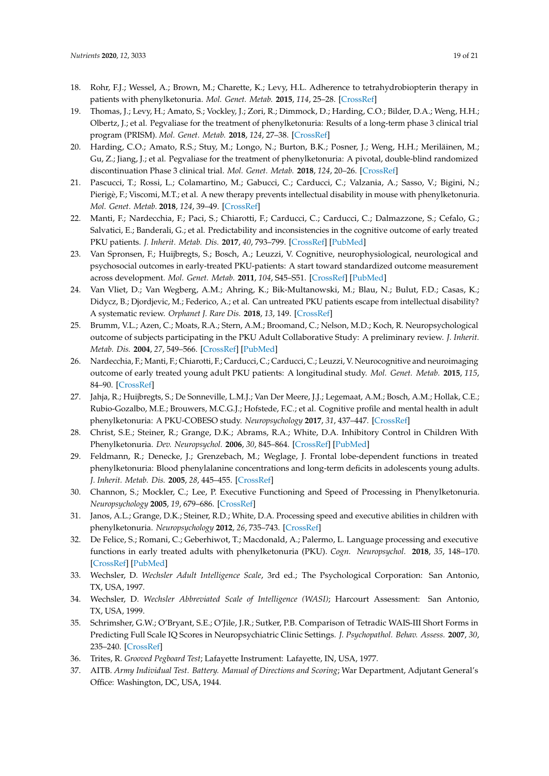- <span id="page-18-0"></span>18. Rohr, F.J.; Wessel, A.; Brown, M.; Charette, K.; Levy, H.L. Adherence to tetrahydrobiopterin therapy in patients with phenylketonuria. *Mol. Genet. Metab.* **2015**, *114*, 25–28. [\[CrossRef\]](http://dx.doi.org/10.1016/j.ymgme.2014.10.013)
- <span id="page-18-1"></span>19. Thomas, J.; Levy, H.; Amato, S.; Vockley, J.; Zori, R.; Dimmock, D.; Harding, C.O.; Bilder, D.A.; Weng, H.H.; Olbertz, J.; et al. Pegvaliase for the treatment of phenylketonuria: Results of a long-term phase 3 clinical trial program (PRISM). *Mol. Genet. Metab.* **2018**, *124*, 27–38. [\[CrossRef\]](http://dx.doi.org/10.1016/j.ymgme.2018.03.006)
- 20. Harding, C.O.; Amato, R.S.; Stuy, M.; Longo, N.; Burton, B.K.; Posner, J.; Weng, H.H.; Meriläinen, M.; Gu, Z.; Jiang, J.; et al. Pegvaliase for the treatment of phenylketonuria: A pivotal, double-blind randomized discontinuation Phase 3 clinical trial. *Mol. Genet. Metab.* **2018**, *124*, 20–26. [\[CrossRef\]](http://dx.doi.org/10.1016/j.ymgme.2018.03.003)
- <span id="page-18-2"></span>21. Pascucci, T.; Rossi, L.; Colamartino, M.; Gabucci, C.; Carducci, C.; Valzania, A.; Sasso, V.; Bigini, N.; Pierigè, F.; Viscomi, M.T.; et al. A new therapy prevents intellectual disability in mouse with phenylketonuria. *Mol. Genet. Metab.* **2018**, *124*, 39–49. [\[CrossRef\]](http://dx.doi.org/10.1016/j.ymgme.2018.03.009)
- <span id="page-18-3"></span>22. Manti, F.; Nardecchia, F.; Paci, S.; Chiarotti, F.; Carducci, C.; Carducci, C.; Dalmazzone, S.; Cefalo, G.; Salvatici, E.; Banderali, G.; et al. Predictability and inconsistencies in the cognitive outcome of early treated PKU patients. *J. Inherit. Metab. Dis.* **2017**, *40*, 793–799. [\[CrossRef\]](http://dx.doi.org/10.1007/s10545-017-0082-y) [\[PubMed\]](http://www.ncbi.nlm.nih.gov/pubmed/28836033)
- 23. Van Spronsen, F.; Huijbregts, S.; Bosch, A.; Leuzzi, V. Cognitive, neurophysiological, neurological and psychosocial outcomes in early-treated PKU-patients: A start toward standardized outcome measurement across development. *Mol. Genet. Metab.* **2011**, *104*, S45–S51. [\[CrossRef\]](http://dx.doi.org/10.1016/j.ymgme.2011.09.036) [\[PubMed\]](http://www.ncbi.nlm.nih.gov/pubmed/22018724)
- <span id="page-18-4"></span>24. Van Vliet, D.; Van Wegberg, A.M.; Ahring, K.; Bik-Multanowski, M.; Blau, N.; Bulut, F.D.; Casas, K.; Didycz, B.; Djordjevic, M.; Federico, A.; et al. Can untreated PKU patients escape from intellectual disability? A systematic review. *Orphanet J. Rare Dis.* **2018**, *13*, 149. [\[CrossRef\]](http://dx.doi.org/10.1186/s13023-018-0890-7)
- <span id="page-18-5"></span>25. Brumm, V.L.; Azen, C.; Moats, R.A.; Stern, A.M.; Broomand, C.; Nelson, M.D.; Koch, R. Neuropsychological outcome of subjects participating in the PKU Adult Collaborative Study: A preliminary review. *J. Inherit. Metab. Dis.* **2004**, *27*, 549–566. [\[CrossRef\]](http://dx.doi.org/10.1023/B:BOLI.0000042985.02049.ff) [\[PubMed\]](http://www.ncbi.nlm.nih.gov/pubmed/15669671)
- <span id="page-18-6"></span>26. Nardecchia, F.; Manti, F.; Chiarotti, F.; Carducci, C.; Carducci, C.; Leuzzi, V. Neurocognitive and neuroimaging outcome of early treated young adult PKU patients: A longitudinal study. *Mol. Genet. Metab.* **2015**, *115*, 84–90. [\[CrossRef\]](http://dx.doi.org/10.1016/j.ymgme.2015.04.003)
- <span id="page-18-7"></span>27. Jahja, R.; Huijbregts, S.; De Sonneville, L.M.J.; Van Der Meere, J.J.; Legemaat, A.M.; Bosch, A.M.; Hollak, C.E.; Rubio-Gozalbo, M.E.; Brouwers, M.C.G.J.; Hofstede, F.C.; et al. Cognitive profile and mental health in adult phenylketonuria: A PKU-COBESO study. *Neuropsychology* **2017**, *31*, 437–447. [\[CrossRef\]](http://dx.doi.org/10.1037/neu0000358)
- <span id="page-18-8"></span>28. Christ, S.E.; Steiner, R.; Grange, D.K.; Abrams, R.A.; White, D.A. Inhibitory Control in Children With Phenylketonuria. *Dev. Neuropsychol.* **2006**, *30*, 845–864. [\[CrossRef\]](http://dx.doi.org/10.1207/s15326942dn3003_5) [\[PubMed\]](http://www.ncbi.nlm.nih.gov/pubmed/17083296)
- <span id="page-18-9"></span>29. Feldmann, R.; Denecke, J.; Grenzebach, M.; Weglage, J. Frontal lobe-dependent functions in treated phenylketonuria: Blood phenylalanine concentrations and long-term deficits in adolescents young adults. *J. Inherit. Metab. Dis.* **2005**, *28*, 445–455. [\[CrossRef\]](http://dx.doi.org/10.1007/s10545-005-0445-7)
- <span id="page-18-10"></span>30. Channon, S.; Mockler, C.; Lee, P. Executive Functioning and Speed of Processing in Phenylketonuria. *Neuropsychology* **2005**, *19*, 679–686. [\[CrossRef\]](http://dx.doi.org/10.1037/0894-4105.19.5.679)
- <span id="page-18-11"></span>31. Janos, A.L.; Grange, D.K.; Steiner, R.D.; White, D.A. Processing speed and executive abilities in children with phenylketonuria. *Neuropsychology* **2012**, *26*, 735–743. [\[CrossRef\]](http://dx.doi.org/10.1037/a0029419)
- <span id="page-18-12"></span>32. De Felice, S.; Romani, C.; Geberhiwot, T.; Macdonald, A.; Palermo, L. Language processing and executive functions in early treated adults with phenylketonuria (PKU). *Cogn. Neuropsychol.* **2018**, *35*, 148–170. [\[CrossRef\]](http://dx.doi.org/10.1080/02643294.2017.1422709) [\[PubMed\]](http://www.ncbi.nlm.nih.gov/pubmed/29488825)
- <span id="page-18-13"></span>33. Wechsler, D. *Wechsler Adult Intelligence Scale*, 3rd ed.; The Psychological Corporation: San Antonio, TX, USA, 1997.
- <span id="page-18-14"></span>34. Wechsler, D. *Wechsler Abbreviated Scale of Intelligence (WASI)*; Harcourt Assessment: San Antonio, TX, USA, 1999.
- <span id="page-18-15"></span>35. Schrimsher, G.W.; O'Bryant, S.E.; O'Jile, J.R.; Sutker, P.B. Comparison of Tetradic WAIS-III Short Forms in Predicting Full Scale IQ Scores in Neuropsychiatric Clinic Settings. *J. Psychopathol. Behav. Assess.* **2007**, *30*, 235–240. [\[CrossRef\]](http://dx.doi.org/10.1007/s10862-007-9066-9)
- <span id="page-18-16"></span>36. Trites, R. *Grooved Pegboard Test*; Lafayette Instrument: Lafayette, IN, USA, 1977.
- <span id="page-18-17"></span>37. AITB. *Army Individual Test. Battery. Manual of Directions and Scoring*; War Department, Adjutant General's Office: Washington, DC, USA, 1944.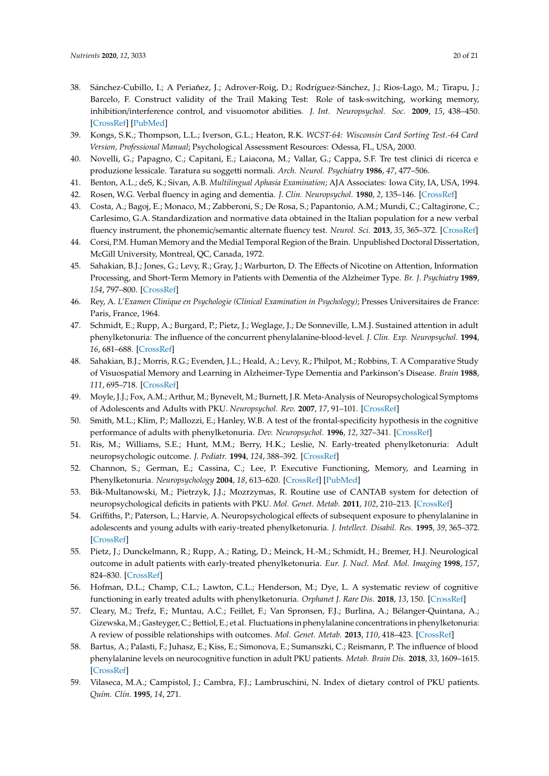- <span id="page-19-0"></span>38. Sánchez-Cubillo, I.; A Periañez, J.; Adrover-Roig, D.; Rodríguez-Sánchez, J.; Rios-Lago, M.; Tirapu, J.; Barcelo, F. Construct validity of the Trail Making Test: Role of task-switching, working memory, inhibition/interference control, and visuomotor abilities. *J. Int. Neuropsychol. Soc.* **2009**, *15*, 438–450. [\[CrossRef\]](http://dx.doi.org/10.1017/S1355617709090626) [\[PubMed\]](http://www.ncbi.nlm.nih.gov/pubmed/19402930)
- <span id="page-19-1"></span>39. Kongs, S.K.; Thompson, L.L.; Iverson, G.L.; Heaton, R.K. *WCST-64: Wisconsin Card Sorting Test.-64 Card Version, Professional Manual*; Psychological Assessment Resources: Odessa, FL, USA, 2000.
- <span id="page-19-2"></span>40. Novelli, G.; Papagno, C.; Capitani, E.; Laiacona, M.; Vallar, G.; Cappa, S.F. Tre test clinici di ricerca e produzione lessicale. Taratura su soggetti normali. *Arch. Neurol. Psychiatry* **1986**, *47*, 477–506.
- <span id="page-19-3"></span>41. Benton, A.L.; deS, K.; Sivan, A.B. *Multilingual Aphasia Examination*; AJA Associates: Iowa City, IA, USA, 1994.
- <span id="page-19-4"></span>42. Rosen, W.G. Verbal fluency in aging and dementia. *J. Clin. Neuropsychol.* **1980**, *2*, 135–146. [\[CrossRef\]](http://dx.doi.org/10.1080/01688638008403788)
- <span id="page-19-5"></span>43. Costa, A.; Bagoj, E.; Monaco, M.; Zabberoni, S.; De Rosa, S.; Papantonio, A.M.; Mundi, C.; Caltagirone, C.; Carlesimo, G.A. Standardization and normative data obtained in the Italian population for a new verbal fluency instrument, the phonemic/semantic alternate fluency test. *Neurol. Sci.* **2013**, *35*, 365–372. [\[CrossRef\]](http://dx.doi.org/10.1007/s10072-013-1520-8)
- <span id="page-19-6"></span>44. Corsi, P.M. Human Memory and the Medial Temporal Region of the Brain. Unpublished Doctoral Dissertation, McGill University, Montreal, QC, Canada, 1972.
- <span id="page-19-7"></span>45. Sahakian, B.J.; Jones, G.; Levy, R.; Gray, J.; Warburton, D. The Effects of Nicotine on Attention, Information Processing, and Short-Term Memory in Patients with Dementia of the Alzheimer Type. *Br. J. Psychiatry* **1989**, *154*, 797–800. [\[CrossRef\]](http://dx.doi.org/10.1192/bjp.154.6.797)
- <span id="page-19-8"></span>46. Rey, A. *L'Examen Clinique en Psychologie (Clinical Examination in Psychology)*; Presses Universitaires de France: Paris, France, 1964.
- <span id="page-19-9"></span>47. Schmidt, E.; Rupp, A.; Burgard, P.; Pietz, J.; Weglage, J.; De Sonneville, L.M.J. Sustained attention in adult phenylketonuria: The influence of the concurrent phenylalanine-blood-level. *J. Clin. Exp. Neuropsychol.* **1994**, *16*, 681–688. [\[CrossRef\]](http://dx.doi.org/10.1080/01688639408402681)
- <span id="page-19-10"></span>48. Sahakian, B.J.; Morris, R.G.; Evenden, J.L.; Heald, A.; Levy, R.; Philpot, M.; Robbins, T. A Comparative Study of Visuospatial Memory and Learning in Alzheimer-Type Dementia and Parkinson's Disease. *Brain* **1988**, *111*, 695–718. [\[CrossRef\]](http://dx.doi.org/10.1093/brain/111.3.695)
- <span id="page-19-11"></span>49. Moyle, J.J.; Fox, A.M.; Arthur, M.; Bynevelt, M.; Burnett, J.R. Meta-Analysis of Neuropsychological Symptoms of Adolescents and Adults with PKU. *Neuropsychol. Rev.* **2007**, *17*, 91–101. [\[CrossRef\]](http://dx.doi.org/10.1007/s11065-007-9021-2)
- <span id="page-19-12"></span>50. Smith, M.L.; Klim, P.; Mallozzi, E.; Hanley, W.B. A test of the frontal-specificity hypothesis in the cognitive performance of adults with phenylketonuria. *Dev. Neuropsychol.* **1996**, *12*, 327–341. [\[CrossRef\]](http://dx.doi.org/10.1080/87565649609540656)
- <span id="page-19-13"></span>51. Ris, M.; Williams, S.E.; Hunt, M.M.; Berry, H.K.; Leslie, N. Early-treated phenylketonuria: Adult neuropsychologic outcome. *J. Pediatr.* **1994**, *124*, 388–392. [\[CrossRef\]](http://dx.doi.org/10.1016/S0022-3476(94)70360-4)
- <span id="page-19-14"></span>52. Channon, S.; German, E.; Cassina, C.; Lee, P. Executive Functioning, Memory, and Learning in Phenylketonuria. *Neuropsychology* **2004**, *18*, 613–620. [\[CrossRef\]](http://dx.doi.org/10.1037/0894-4105.18.4.613) [\[PubMed\]](http://www.ncbi.nlm.nih.gov/pubmed/15506828)
- <span id="page-19-15"></span>53. Bik-Multanowski, M.; Pietrzyk, J.J.; Mozrzymas, R. Routine use of CANTAB system for detection of neuropsychological deficits in patients with PKU. *Mol. Genet. Metab.* **2011**, *102*, 210–213. [\[CrossRef\]](http://dx.doi.org/10.1016/j.ymgme.2010.10.003)
- <span id="page-19-16"></span>54. Griffiths, P.; Paterson, L.; Harvie, A. Neuropsychological effects of subsequent exposure to phenylalanine in adolescents and young adults with eariy-treated phenylketonuria. *J. Intellect. Disabil. Res.* **1995**, *39*, 365–372. [\[CrossRef\]](http://dx.doi.org/10.1111/j.1365-2788.1995.tb00540.x)
- <span id="page-19-17"></span>55. Pietz, J.; Dunckelmann, R.; Rupp, A.; Rating, D.; Meinck, H.-M.; Schmidt, H.; Bremer, H.J. Neurological outcome in adult patients with early-treated phenylketonuria. *Eur. J. Nucl. Med. Mol. Imaging* **1998**, *157*, 824–830. [\[CrossRef\]](http://dx.doi.org/10.1007/s004310050945)
- <span id="page-19-18"></span>56. Hofman, D.L.; Champ, C.L.; Lawton, C.L.; Henderson, M.; Dye, L. A systematic review of cognitive functioning in early treated adults with phenylketonuria. *Orphanet J. Rare Dis.* **2018**, *13*, 150. [\[CrossRef\]](http://dx.doi.org/10.1186/s13023-018-0893-4)
- <span id="page-19-19"></span>57. Cleary, M.; Trefz, F.; Muntau, A.C.; Feillet, F.; Van Spronsen, F.J.; Burlina, A.; Bélanger-Quintana, A.; Gizewska, M.; Gasteyger, C.; Bettiol, E.; et al. Fluctuations in phenylalanine concentrations in phenylketonuria: A review of possible relationships with outcomes. *Mol. Genet. Metab.* **2013**, *110*, 418–423. [\[CrossRef\]](http://dx.doi.org/10.1016/j.ymgme.2013.09.001)
- <span id="page-19-20"></span>58. Bartus, A.; Palasti, F.; Juhasz, E.; Kiss, E.; Simonova, E.; Sumanszki, C.; Reismann, P. The influence of blood phenylalanine levels on neurocognitive function in adult PKU patients. *Metab. Brain Dis.* **2018**, *33*, 1609–1615. [\[CrossRef\]](http://dx.doi.org/10.1007/s11011-018-0267-6)
- <span id="page-19-21"></span>59. Vilaseca, M.A.; Campistol, J.; Cambra, F.J.; Lambruschini, N. Index of dietary control of PKU patients. *Quím. Clín.* **1995**, *14*, 271.